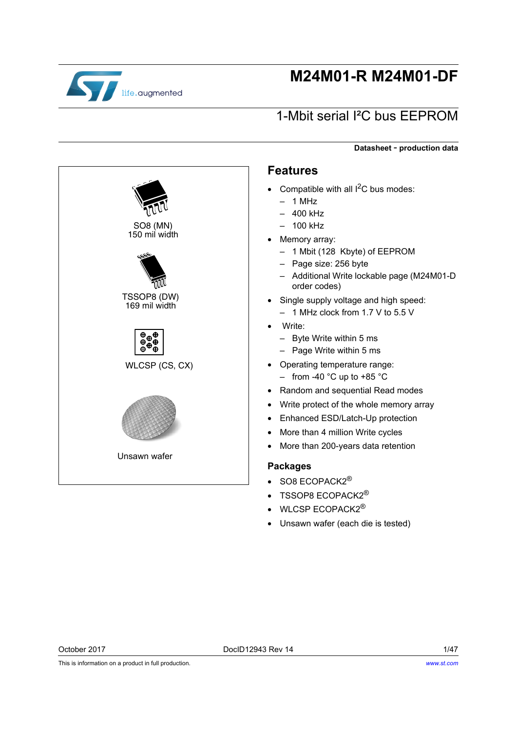

# **M24M01-R M24M01-DF**

# 1-Mbit serial I²C bus EEPROM

SO8 (MN) 150 mil width TSSOP8 (DW) 169 mil width  $\frac{\oplus}{\oplus}$ e.  $\ddot{\theta}$  $\ddot{\theta}$  $\ddot{\theta}$ WLCSP (CS, CX) Unsawn wafer

#### **Datasheet** - **production data**

### **Features**

- Compatible with all  $I^2C$  bus modes:
	- $-1$  MHz
	- $-400$  kHz
	- 100 kHz
- Memory array:
	- 1 Mbit (128 Kbyte) of EEPROM
	- Page size: 256 byte
	- Additional Write lockable page (M24M01-D order codes)
- Single supply voltage and high speed:
	- 1 MHz clock from 1.7 V to 5.5 V
- Write:
	- Byte Write within 5 ms
	- Page Write within 5 ms
- Operating temperature range: – from -40  $^{\circ}$ C up to +85  $^{\circ}$ C
- Random and sequential Read modes
- Write protect of the whole memory array
- Enhanced ESD/Latch-Up protection
- More than 4 million Write cycles
- More than 200-years data retention

#### **Packages**

- SO8 ECOPACK2<sup>®</sup>
- TSSOP8 ECOPACK2<sup>®</sup>
- $\bullet$  WLCSP ECOPACK2 $^\circledR$
- Unsawn wafer (each die is tested)

This is information on a product in full production.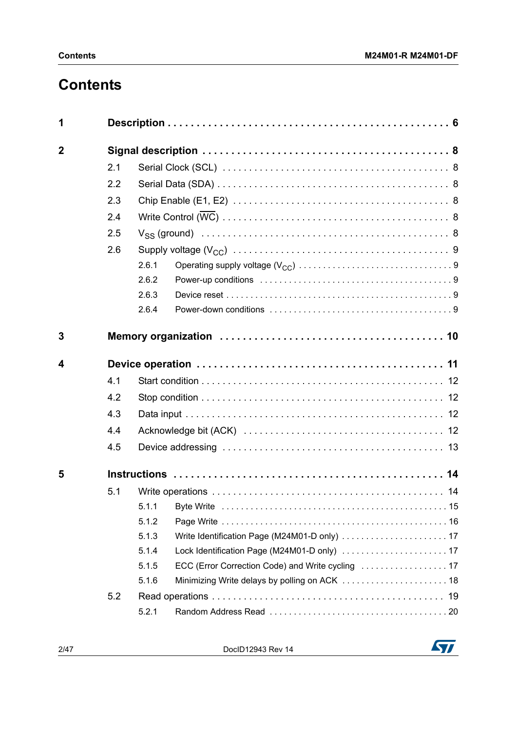# **Contents**

| 1              |     |       |                                               |  |  |  |  |  |
|----------------|-----|-------|-----------------------------------------------|--|--|--|--|--|
| $\overline{2}$ |     |       |                                               |  |  |  |  |  |
|                | 2.1 |       |                                               |  |  |  |  |  |
|                | 2.2 |       |                                               |  |  |  |  |  |
|                | 2.3 |       |                                               |  |  |  |  |  |
|                | 2.4 |       |                                               |  |  |  |  |  |
|                | 2.5 |       |                                               |  |  |  |  |  |
|                | 2.6 |       |                                               |  |  |  |  |  |
|                |     | 2.6.1 |                                               |  |  |  |  |  |
|                |     | 2.6.2 |                                               |  |  |  |  |  |
|                |     | 2.6.3 |                                               |  |  |  |  |  |
|                |     | 2.6.4 |                                               |  |  |  |  |  |
| 3              |     |       |                                               |  |  |  |  |  |
|                |     |       |                                               |  |  |  |  |  |
| 4              |     |       |                                               |  |  |  |  |  |
|                | 4.1 |       |                                               |  |  |  |  |  |
|                | 4.2 |       |                                               |  |  |  |  |  |
|                | 4.3 |       |                                               |  |  |  |  |  |
|                | 4.4 |       |                                               |  |  |  |  |  |
|                | 4.5 |       |                                               |  |  |  |  |  |
| 5              |     |       |                                               |  |  |  |  |  |
|                | 5.1 |       |                                               |  |  |  |  |  |
|                |     | 5.1.1 |                                               |  |  |  |  |  |
|                |     | 5.1.2 |                                               |  |  |  |  |  |
|                |     | 5.1.3 |                                               |  |  |  |  |  |
|                |     | 5.1.4 |                                               |  |  |  |  |  |
|                |     | 5.1.5 |                                               |  |  |  |  |  |
|                |     | 5.1.6 | Minimizing Write delays by polling on ACK  18 |  |  |  |  |  |
|                | 5.2 |       |                                               |  |  |  |  |  |
|                |     | 5.2.1 |                                               |  |  |  |  |  |

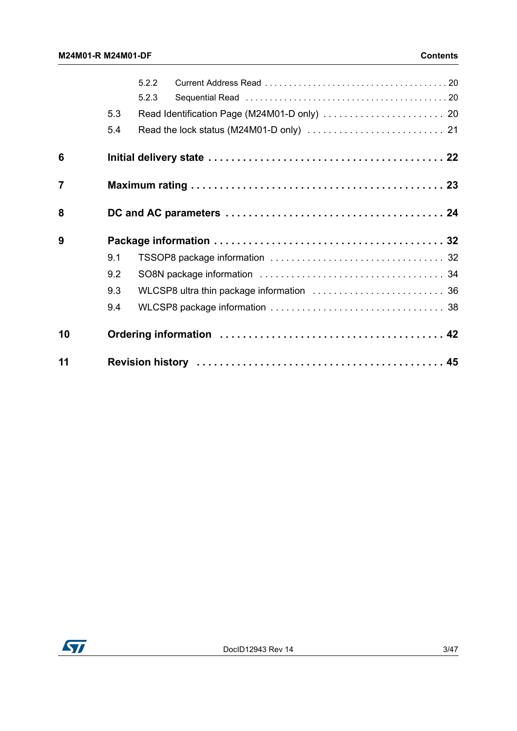|                |     | 5.2.2 |  |
|----------------|-----|-------|--|
|                |     | 5.2.3 |  |
|                | 5.3 |       |  |
|                | 5.4 |       |  |
| 6              |     |       |  |
| $\overline{7}$ |     |       |  |
| 8              |     |       |  |
| 9              |     |       |  |
|                | 9.1 |       |  |
|                | 9.2 |       |  |
|                | 9.3 |       |  |
|                | 9.4 |       |  |
| 10             |     |       |  |
| 11             |     |       |  |

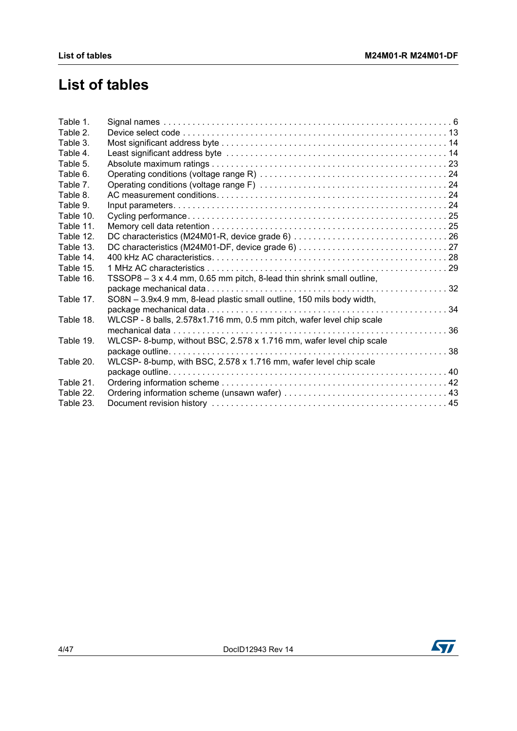# **List of tables**

| TSSOP8 – 3 x 4.4 mm, 0.65 mm pitch, 8-lead thin shrink small outline, |
|-----------------------------------------------------------------------|
|                                                                       |
| SO8N - 3.9x4.9 mm, 8-lead plastic small outline, 150 mils body width, |
| 34                                                                    |
| WLCSP - 8 balls, 2.578x1.716 mm, 0.5 mm pitch, wafer level chip scale |
|                                                                       |
| WLCSP-8-bump, without BSC, 2.578 x 1.716 mm, wafer level chip scale   |
|                                                                       |
| WLCSP-8-bump, with BSC, 2.578 x 1.716 mm, wafer level chip scale      |
|                                                                       |
|                                                                       |
|                                                                       |
|                                                                       |
|                                                                       |

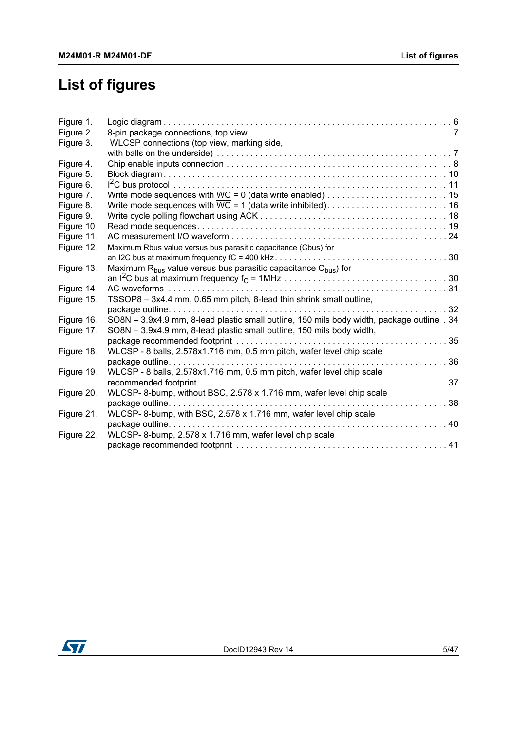# **List of figures**

| Figure 1.  |                                                                                                                   |
|------------|-------------------------------------------------------------------------------------------------------------------|
| Figure 2.  |                                                                                                                   |
| Figure 3.  | WLCSP connections (top view, marking side,                                                                        |
|            |                                                                                                                   |
| Figure 4.  |                                                                                                                   |
| Figure 5.  |                                                                                                                   |
| Figure 6.  |                                                                                                                   |
| Figure 7.  |                                                                                                                   |
| Figure 8.  | Write mode sequences with WC = 1 (data write inhibited) $\ldots \ldots \ldots \ldots \ldots \ldots \ldots \ldots$ |
| Figure 9.  |                                                                                                                   |
| Figure 10. |                                                                                                                   |
| Figure 11. |                                                                                                                   |
| Figure 12. | Maximum Rbus value versus bus parasitic capacitance (Cbus) for                                                    |
|            |                                                                                                                   |
| Figure 13. | Maximum $R_{bus}$ value versus bus parasitic capacitance $C_{bus}$ for                                            |
|            |                                                                                                                   |
| Figure 14. |                                                                                                                   |
| Figure 15. | TSSOP8 - 3x4.4 mm, 0.65 mm pitch, 8-lead thin shrink small outline,                                               |
|            |                                                                                                                   |
| Figure 16. | SO8N - 3.9x4.9 mm, 8-lead plastic small outline, 150 mils body width, package outline . 34                        |
| Figure 17. | SO8N - 3.9x4.9 mm, 8-lead plastic small outline, 150 mils body width,                                             |
|            | 35                                                                                                                |
| Figure 18. | WLCSP - 8 balls, 2.578x1.716 mm, 0.5 mm pitch, wafer level chip scale                                             |
|            | . 36                                                                                                              |
| Figure 19. | WLCSP - 8 balls, 2.578x1.716 mm, 0.5 mm pitch, wafer level chip scale                                             |
|            |                                                                                                                   |
| Figure 20. | WLCSP-8-bump, without BSC, 2.578 x 1.716 mm, wafer level chip scale                                               |
|            | 38                                                                                                                |
| Figure 21. | WLCSP-8-bump, with BSC, 2.578 x 1.716 mm, wafer level chip scale                                                  |
|            |                                                                                                                   |
| Figure 22. | WLCSP-8-bump, 2.578 x 1.716 mm, wafer level chip scale                                                            |
|            |                                                                                                                   |

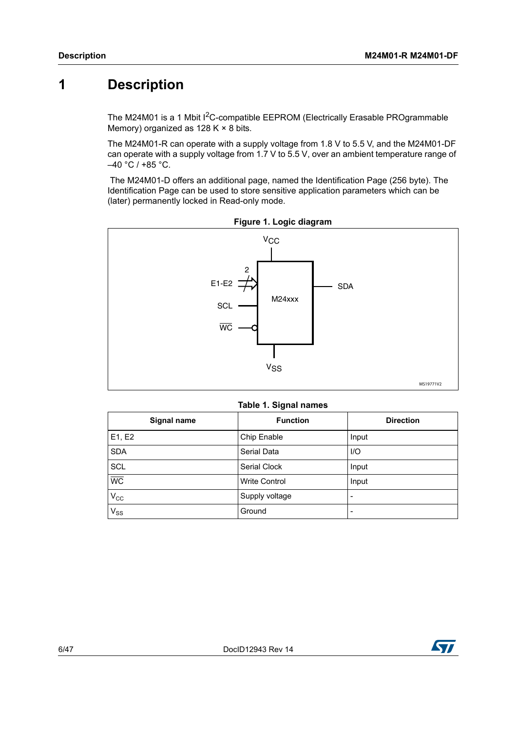## <span id="page-5-0"></span>**1 Description**

The M24M01 is a 1 Mbit  $1<sup>2</sup>C$ -compatible EEPROM (Electrically Erasable PROgrammable Memory) organized as  $128$  K  $\times$  8 bits.

The M24M01-R can operate with a supply voltage from 1.8 V to 5.5 V, and the M24M01-DF can operate with a supply voltage from 1.7 V to 5.5 V, over an ambient temperature range of  $-40 °C / +85 °C$ .

 The M24M01-D offers an additional page, named the Identification Page (256 byte). The Identification Page can be used to store sensitive application parameters which can be (later) permanently locked in Read-only mode.

<span id="page-5-2"></span>

|  |  |  | Figure 1. Logic diagram |
|--|--|--|-------------------------|
|--|--|--|-------------------------|

|  |  |  | Table 1. Signal names |
|--|--|--|-----------------------|
|--|--|--|-----------------------|

<span id="page-5-1"></span>

| Signal name     | <b>Function</b>      | <b>Direction</b> |
|-----------------|----------------------|------------------|
| E1, E2          | Chip Enable          | Input            |
| <b>SDA</b>      | Serial Data          | $U$              |
| <b>SCL</b>      | Serial Clock         | Input            |
| $\overline{WC}$ | <b>Write Control</b> | Input            |
| $V_{\rm CC}$    | Supply voltage       |                  |
| $V_{SS}$        | Ground               |                  |

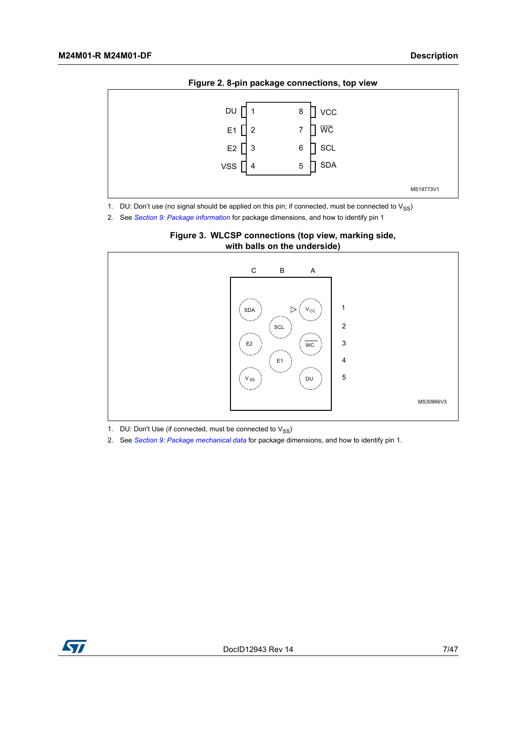<span id="page-6-0"></span>

1. DU: Don't use (no signal should be applied on this pin; if connected, must be connected to  $V_{SS}$ )

<span id="page-6-1"></span>2. See *[Section 9: Package information](#page-31-0)* for package dimensions, and how to identify pin 1



**Figure 3. WLCSP connections (top view, marking side, with balls on the underside)**

1. DU: Don't Use (if connected, must be connected to  $V_{SS}$ )

2. See *Section 9: Package mechanical data* for package dimensions, and how to identify pin 1.

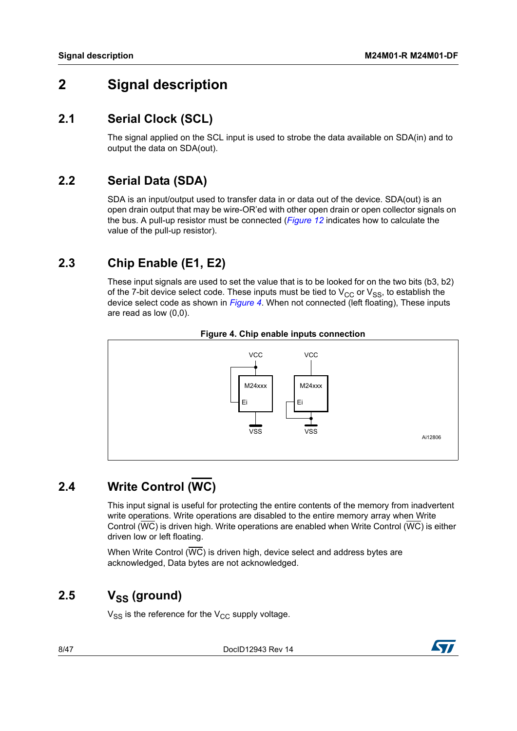## <span id="page-7-0"></span>**2 Signal description**

## <span id="page-7-1"></span>**2.1 Serial Clock (SCL)**

The signal applied on the SCL input is used to strobe the data available on SDA(in) and to output the data on SDA(out).

### <span id="page-7-2"></span>**2.2 Serial Data (SDA)**

SDA is an input/output used to transfer data in or data out of the device. SDA(out) is an open drain output that may be wire-OR'ed with other open drain or open collector signals on the bus. A pull-up resistor must be connected (*[Figure](#page-29-0) 12* indicates how to calculate the value of the pull-up resistor).

## <span id="page-7-3"></span>**2.3 Chip Enable (E1, E2)**

These input signals are used to set the value that is to be looked for on the two bits (b3, b2) of the 7-bit device select code. These inputs must be tied to  $V_{CC}$  or  $V_{SS}$ , to establish the device select code as shown in *Figure 4*. When not connected (left floating), These inputs are read as low (0,0).

<span id="page-7-6"></span>



# <span id="page-7-4"></span>**2.4 Write Control (WC)**

This input signal is useful for protecting the entire contents of the memory from inadvertent write operations. Write operations are disabled to the entire memory array when Write Control (WC) is driven high. Write operations are enabled when Write Control (WC) is either driven low or left floating.

When Write Control  $(\overline{WC})$  is driven high, device select and address bytes are acknowledged, Data bytes are not acknowledged.

## <span id="page-7-5"></span> $2.5 \qquad V_{SS}$  (ground)

 $V_{SS}$  is the reference for the  $V_{CC}$  supply voltage.



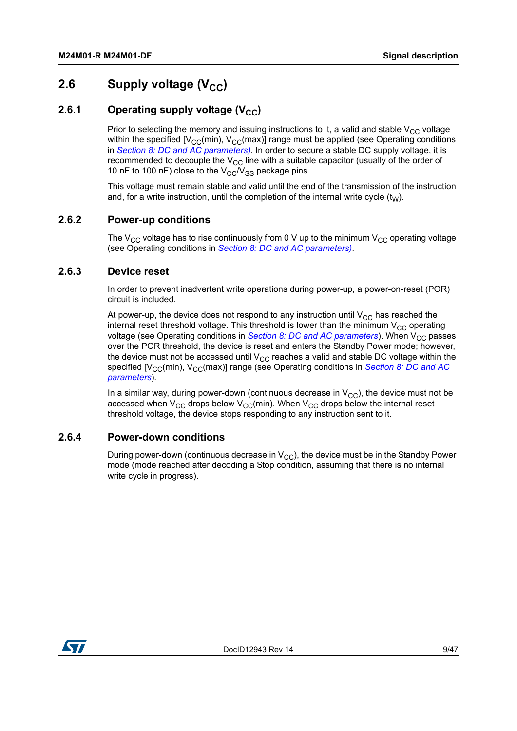## <span id="page-8-0"></span>**2.6** Supply voltage (V<sub>CC</sub>)

### <span id="page-8-1"></span>**2.6.1** Operating supply voltage (V<sub>CC</sub>)

Prior to selecting the memory and issuing instructions to it, a valid and stable  $V_{CC}$  voltage within the specified  $[V_{CC}(min), V_{CC}(max)]$  range must be applied (see Operating conditions in *Section [8: DC and AC parameters](#page-23-0))*. In order to secure a stable DC supply voltage, it is recommended to decouple the  $V_{CC}$  line with a suitable capacitor (usually of the order of 10 nF to 100 nF) close to the  $V_{\rm CC}/V_{\rm SS}$  package pins.

This voltage must remain stable and valid until the end of the transmission of the instruction and, for a write instruction, until the completion of the internal write cycle  $(t_{W})$ .

### <span id="page-8-2"></span>**2.6.2 Power-up conditions**

The  $V_{CC}$  voltage has to rise continuously from 0 V up to the minimum  $V_{CC}$  operating voltage (see Operating conditions in *Section [8: DC and AC parameters](#page-23-0))*.

#### <span id="page-8-3"></span>**2.6.3 Device reset**

In order to prevent inadvertent write operations during power-up, a power-on-reset (POR) circuit is included.

At power-up, the device does not respond to any instruction until  $V_{CC}$  has reached the internal reset threshold voltage. This threshold is lower than the minimum  $V_{CC}$  operating voltage (see Operating conditions in *Section [8: DC and AC parameters](#page-23-0)*). When V<sub>CC</sub> passes over the POR threshold, the device is reset and enters the Standby Power mode; however, the device must not be accessed until  $V_{CC}$  reaches a valid and stable DC voltage within the specified [V<sub>CC</sub>(min), V<sub>CC</sub>(max)] range (see Operating conditions in *Section 8: DC and AC [parameters](#page-23-0)*).

In a similar way, during power-down (continuous decrease in  $V_{CC}$ ), the device must not be accessed when  $V_{CC}$  drops below  $V_{CC}$ (min). When  $V_{CC}$  drops below the internal reset threshold voltage, the device stops responding to any instruction sent to it.

#### <span id="page-8-4"></span>**2.6.4 Power-down conditions**

During power-down (continuous decrease in  $V_{CC}$ ), the device must be in the Standby Power mode (mode reached after decoding a Stop condition, assuming that there is no internal write cycle in progress).

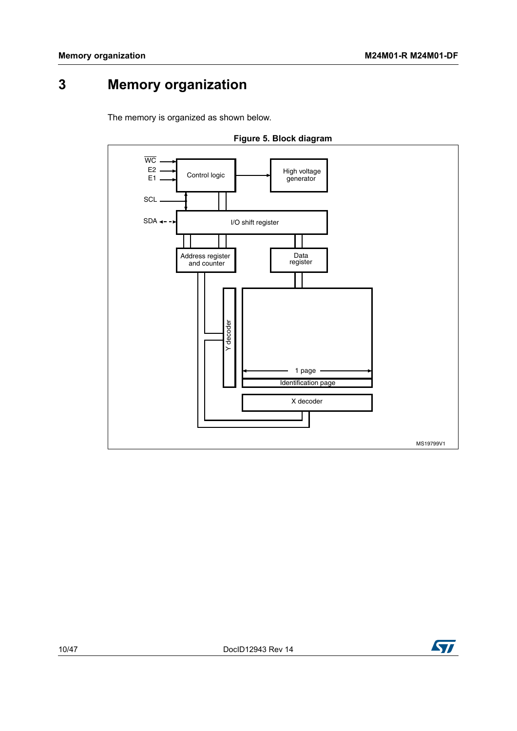# <span id="page-9-0"></span>**3 Memory organization**

The memory is organized as shown below.

<span id="page-9-1"></span>

**Figure 5. Block diagram**

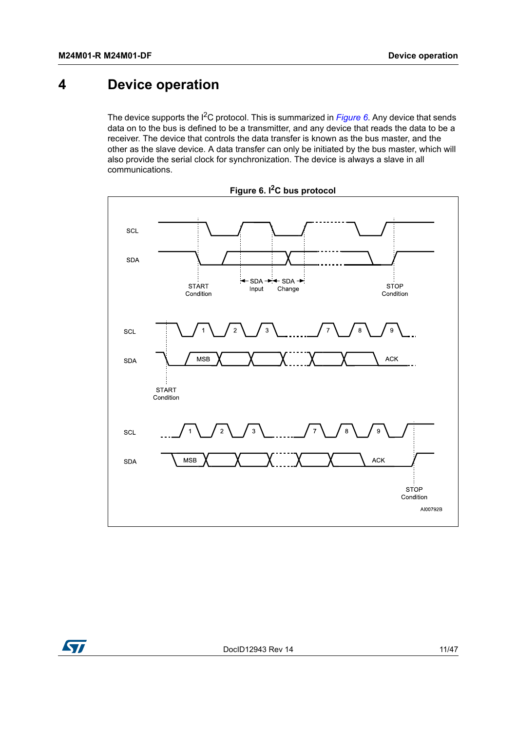# <span id="page-10-0"></span>**4 Device operation**

The device supports the I<sup>2</sup>C protocol. This is summarized in *[Figure](#page-10-1)* 6. Any device that sends data on to the bus is defined to be a transmitter, and any device that reads the data to be a receiver. The device that controls the data transfer is known as the bus master, and the other as the slave device. A data transfer can only be initiated by the bus master, which will also provide the serial clock for synchronization. The device is always a slave in all communications.

<span id="page-10-1"></span>



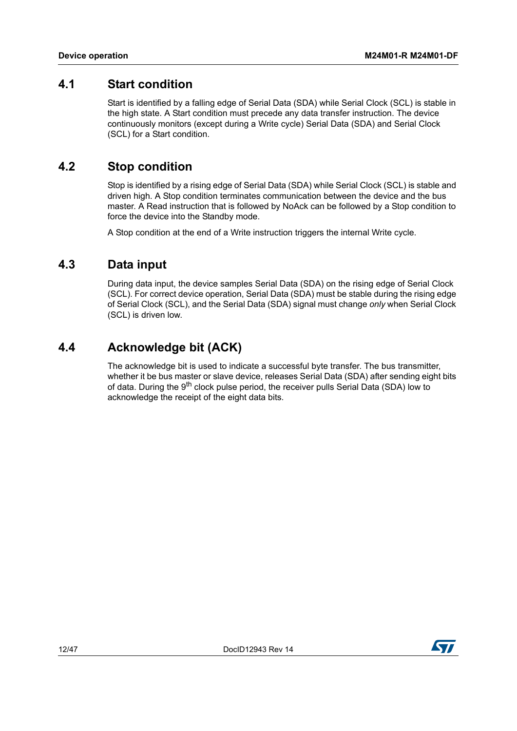### <span id="page-11-0"></span>**4.1 Start condition**

Start is identified by a falling edge of Serial Data (SDA) while Serial Clock (SCL) is stable in the high state. A Start condition must precede any data transfer instruction. The device continuously monitors (except during a Write cycle) Serial Data (SDA) and Serial Clock (SCL) for a Start condition.

### <span id="page-11-1"></span>**4.2 Stop condition**

Stop is identified by a rising edge of Serial Data (SDA) while Serial Clock (SCL) is stable and driven high. A Stop condition terminates communication between the device and the bus master. A Read instruction that is followed by NoAck can be followed by a Stop condition to force the device into the Standby mode.

A Stop condition at the end of a Write instruction triggers the internal Write cycle.

### <span id="page-11-2"></span>**4.3 Data input**

During data input, the device samples Serial Data (SDA) on the rising edge of Serial Clock (SCL). For correct device operation, Serial Data (SDA) must be stable during the rising edge of Serial Clock (SCL), and the Serial Data (SDA) signal must change *only* when Serial Clock (SCL) is driven low.

## <span id="page-11-3"></span>**4.4 Acknowledge bit (ACK)**

The acknowledge bit is used to indicate a successful byte transfer. The bus transmitter, whether it be bus master or slave device, releases Serial Data (SDA) after sending eight bits of data. During the 9<sup>th</sup> clock pulse period, the receiver pulls Serial Data (SDA) low to acknowledge the receipt of the eight data bits.

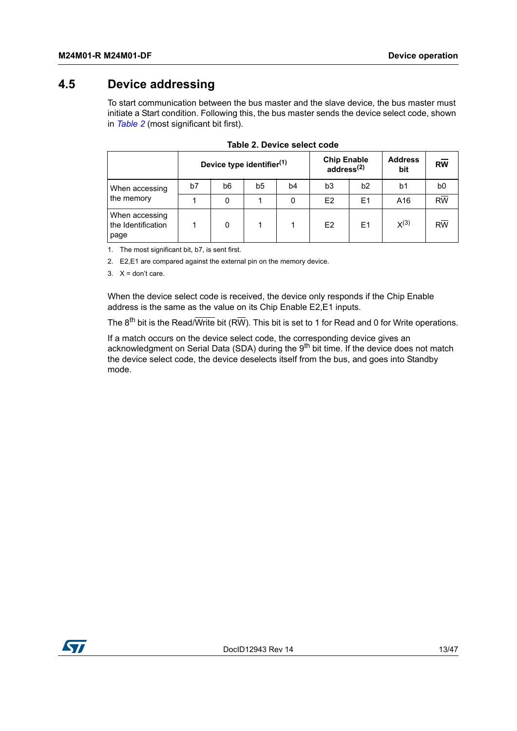## <span id="page-12-0"></span>**4.5 Device addressing**

To start communication between the bus master and the slave device, the bus master must initiate a Start condition. Following this, the bus master sends the device select code, shown in *[Table](#page-12-1) 2* (most significant bit first).

<span id="page-12-1"></span>

|                                              | Device type identifier <sup>(1)</sup> |    |                |    | <b>Chip Enable</b><br>address <sup>(2)</sup> |                | <b>Address</b><br>bit | <b>RW</b> |
|----------------------------------------------|---------------------------------------|----|----------------|----|----------------------------------------------|----------------|-----------------------|-----------|
| When accessing                               | b7                                    | b6 | b <sub>5</sub> | b4 | b <sub>3</sub>                               | b2             | b1                    | b0        |
| the memory                                   |                                       |    |                | 0  | E <sub>2</sub>                               | E <sub>1</sub> | A16                   | <b>RW</b> |
| When accessing<br>the Identification<br>page |                                       | 0  |                |    | E <sub>2</sub>                               | E <sub>1</sub> | $X^{(3)}$             | <b>RW</b> |

|  | Table 2. Device select code |  |
|--|-----------------------------|--|
|  |                             |  |

1. The most significant bit, b7, is sent first.

2. E2,E1 are compared against the external pin on the memory device.

 $3. X =$  don't care.

When the device select code is received, the device only responds if the Chip Enable address is the same as the value on its Chip Enable E2,E1 inputs.

The  $8^{th}$  bit is the Read/Write bit (RW). This bit is set to 1 for Read and 0 for Write operations.

If a match occurs on the device select code, the corresponding device gives an acknowledgment on Serial Data (SDA) during the 9<sup>th</sup> bit time. If the device does not match the device select code, the device deselects itself from the bus, and goes into Standby mode.

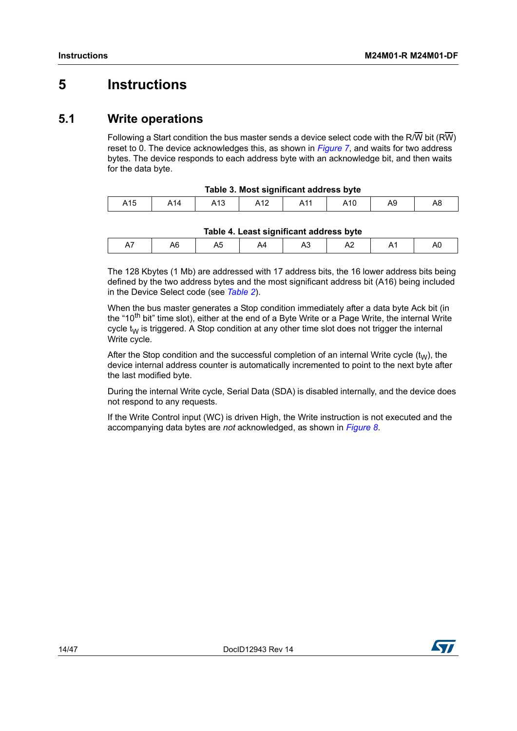## <span id="page-13-0"></span>**5 Instructions**

### <span id="page-13-1"></span>**5.1 Write operations**

Following a Start condition the bus master sends a device select code with the R/W bit (RW) reset to 0. The device acknowledges this, as shown in *[Figure](#page-14-1) 7*, and waits for two address bytes. The device responds to each address byte with an acknowledge bit, and then waits for the data byte.

<span id="page-13-2"></span>

| Table 3. Most significant address byte |     |  |  |  |     |  |    |  |  |
|----------------------------------------|-----|--|--|--|-----|--|----|--|--|
| A15                                    | A14 |  |  |  | A10 |  | Α8 |  |  |

| . | . .<br>$\cdot$ $\cdot$ $\cdot$ $\cdot$ | 1 I V | πJ |
|---|----------------------------------------|-------|----|
|   |                                        |       |    |

|  |  | Table 4. Least significant address byte |  |  |
|--|--|-----------------------------------------|--|--|
|  |  |                                         |  |  |
|  |  |                                         |  |  |

<span id="page-13-3"></span>

| Table 4. Least significant address byte |    |  |  |    |   |  |    |
|-----------------------------------------|----|--|--|----|---|--|----|
|                                         | יר |  |  | ¬๛ | ∼ |  | n. |

The 128 Kbytes (1 Mb) are addressed with 17 address bits, the 16 lower address bits being defined by the two address bytes and the most significant address bit (A16) being included in the Device Select code (see *Table 2*).

When the bus master generates a Stop condition immediately after a data byte Ack bit (in the "10<sup>th</sup> bit" time slot), either at the end of a Byte Write or a Page Write, the internal Write cycle  $t_W$  is triggered. A Stop condition at any other time slot does not trigger the internal Write cycle.

After the Stop condition and the successful completion of an internal Write cycle  $(t<sub>W</sub>)$ , the device internal address counter is automatically incremented to point to the next byte after the last modified byte.

During the internal Write cycle, Serial Data (SDA) is disabled internally, and the device does not respond to any requests.

If the Write Control input (WC) is driven High, the Write instruction is not executed and the accompanying data bytes are *not* acknowledged, as shown in *[Figure](#page-15-1) 8*.

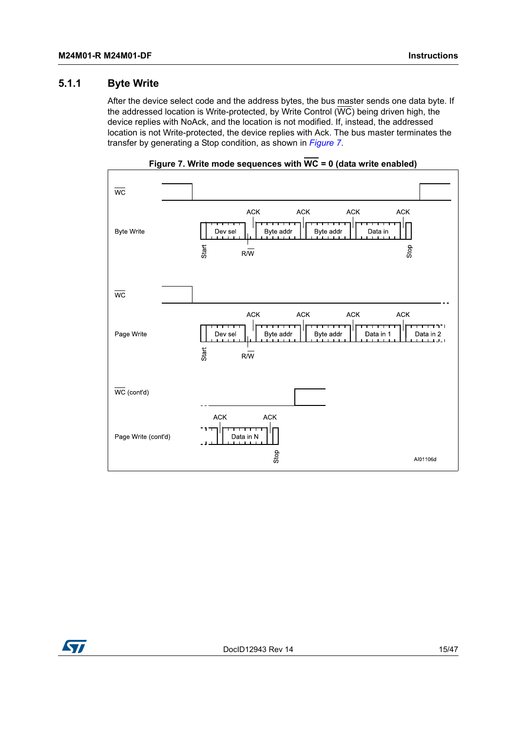#### <span id="page-14-0"></span>**5.1.1 Byte Write**

After the device select code and the address bytes, the bus master sends one data byte. If the addressed location is Write-protected, by Write Control  $(\overline{WC})$  being driven high, the device replies with NoAck, and the location is not modified. If, instead, the addressed location is not Write-protected, the device replies with Ack. The bus master terminates the transfer by generating a Stop condition, as shown in *[Figure](#page-14-1) 7*.

<span id="page-14-1"></span>

**Figure 7. Write mode sequences with WC = 0 (data write enabled)**

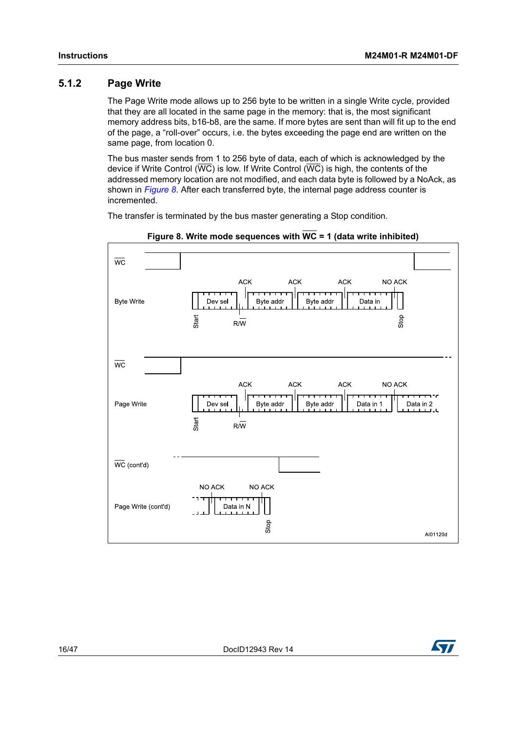### <span id="page-15-0"></span>**5.1.2 Page Write**

The Page Write mode allows up to 256 byte to be written in a single Write cycle, provided that they are all located in the same page in the memory: that is, the most significant memory address bits, b16-b8, are the same. If more bytes are sent than will fit up to the end of the page, a "roll-over" occurs, i.e. the bytes exceeding the page end are written on the same page, from location 0.

The bus master sends from 1 to 256 byte of data, each of which is acknowledged by the device if Write Control ( $\overline{WC}$ ) is low. If Write Control ( $\overline{WC}$ ) is high, the contents of the addressed memory location are not modified, and each data byte is followed by a NoAck, as shown in *[Figure](#page-15-1) 8*. After each transferred byte, the internal page address counter is incremented.

The transfer is terminated by the bus master generating a Stop condition.

<span id="page-15-1"></span>



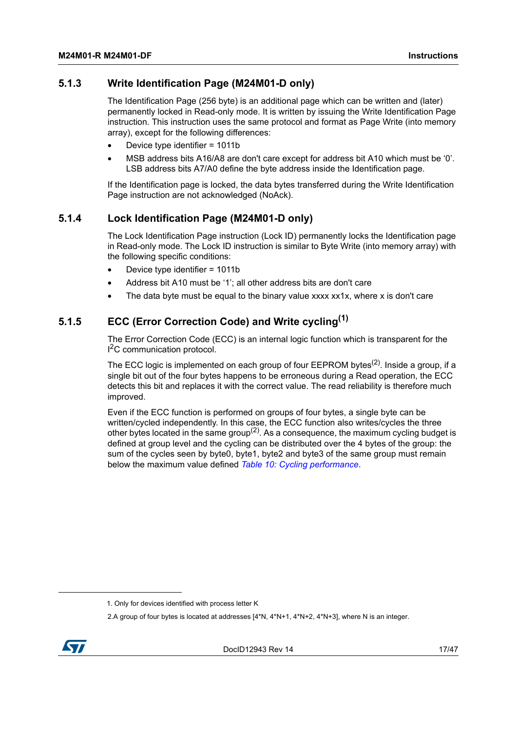### <span id="page-16-0"></span>**5.1.3 Write Identification Page (M24M01-D only)**

The Identification Page (256 byte) is an additional page which can be written and (later) permanently locked in Read-only mode. It is written by issuing the Write Identification Page instruction. This instruction uses the same protocol and format as Page Write (into memory array), except for the following differences:

- Device type identifier = 1011b
- MSB address bits A16/A8 are don't care except for address bit A10 which must be '0'. LSB address bits A7/A0 define the byte address inside the Identification page.

If the Identification page is locked, the data bytes transferred during the Write Identification Page instruction are not acknowledged (NoAck).

### <span id="page-16-1"></span>**5.1.4 Lock Identification Page (M24M01-D only)**

The Lock Identification Page instruction (Lock ID) permanently locks the Identification page in Read-only mode. The Lock ID instruction is similar to Byte Write (into memory array) with the following specific conditions:

- Device type identifier = 1011b
- Address bit A10 must be '1'; all other address bits are don't care
- The data byte must be equal to the binary value xxxx xx1x, where x is don't care

### <span id="page-16-2"></span>**5.1.5 ECC (Error Correction Code) and Write cycling(1)**

The Error Correction Code (ECC) is an internal logic function which is transparent for the <sup>2</sup>C communication protocol.

The ECC logic is implemented on each group of four EEPROM bytes<sup>(2)</sup>. Inside a group, if a single bit out of the four bytes happens to be erroneous during a Read operation, the ECC detects this bit and replaces it with the correct value. The read reliability is therefore much improved.

Even if the ECC function is performed on groups of four bytes, a single byte can be written/cycled independently. In this case, the ECC function also writes/cycles the three other bytes located in the same group<sup>(2)</sup>. As a consequence, the maximum cycling budget is defined at group level and the cycling can be distributed over the 4 bytes of the group: the sum of the cycles seen by byte0, byte1, byte2 and byte3 of the same group must remain below the maximum value defined *Table [10: Cycling performance](#page-24-0)*.

<sup>2.</sup>A group of four bytes is located at addresses [4\*N, 4\*N+1, 4\*N+2, 4\*N+3], where N is an integer.



<sup>1.</sup> Only for devices identified with process letter K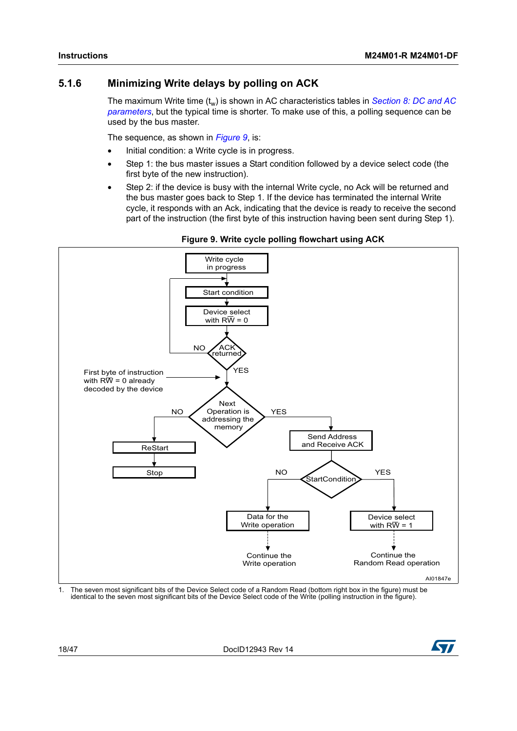### <span id="page-17-0"></span>**5.1.6 Minimizing Write delays by polling on ACK**

The maximum Write time (t<sub>w</sub>) is shown in AC characteristics tables in *Section 8: DC and AC [parameters](#page-23-0)*, but the typical time is shorter. To make use of this, a polling sequence can be used by the bus master.

The sequence, as shown in *[Figure](#page-17-1) 9*, is:

- Initial condition: a Write cycle is in progress.
- Step 1: the bus master issues a Start condition followed by a device select code (the first byte of the new instruction).
- Step 2: if the device is busy with the internal Write cycle, no Ack will be returned and the bus master goes back to Step 1. If the device has terminated the internal Write cycle, it responds with an Ack, indicating that the device is ready to receive the second part of the instruction (the first byte of this instruction having been sent during Step 1).

<span id="page-17-1"></span>

#### **Figure 9. Write cycle polling flowchart using ACK**

1. The seven most significant bits of the Device Select code of a Random Read (bottom right box in the figure) must be identical to the seven most significant bits of the Device Select code of the Write (polling instruction in the figure).

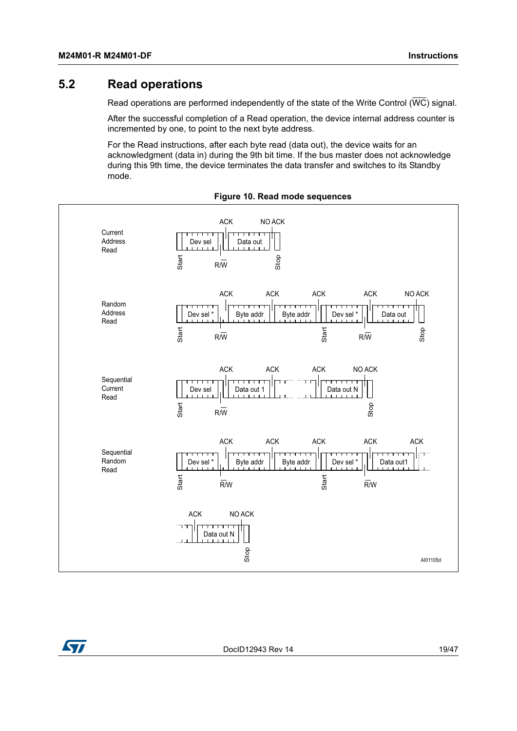## <span id="page-18-0"></span>**5.2 Read operations**

Read operations are performed independently of the state of the Write Control ( $\overline{\text{WC}}$ ) signal.

After the successful completion of a Read operation, the device internal address counter is incremented by one, to point to the next byte address.

<span id="page-18-1"></span>For the Read instructions, after each byte read (data out), the device waits for an acknowledgment (data in) during the 9th bit time. If the bus master does not acknowledge during this 9th time, the device terminates the data transfer and switches to its Standby mode.



**Figure 10. Read mode sequences**



DocID12943 Rev 14 19/[47](#page-46-0)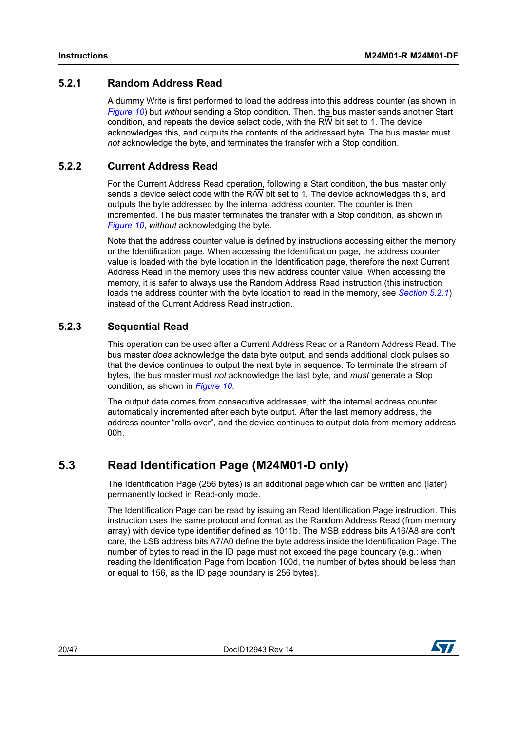### <span id="page-19-0"></span>**5.2.1 Random Address Read**

A dummy Write is first performed to load the address into this address counter (as shown in *[Figure](#page-18-1) 10*) but *without* sending a Stop condition. Then, the bus master sends another Start condition, and repeats the device select code, with the RW bit set to 1. The device acknowledges this, and outputs the contents of the addressed byte. The bus master must *not* acknowledge the byte, and terminates the transfer with a Stop condition.

### <span id="page-19-1"></span>**5.2.2 Current Address Read**

For the Current Address Read operation, following a Start condition, the bus master only sends a device select code with the R/W bit set to 1. The device acknowledges this, and outputs the byte addressed by the internal address counter. The counter is then incremented. The bus master terminates the transfer with a Stop condition, as shown in *[Figure](#page-18-1) 10*, *without* acknowledging the byte.

Note that the address counter value is defined by instructions accessing either the memory or the Identification page. When accessing the Identification page, the address counter value is loaded with the byte location in the Identification page, therefore the next Current Address Read in the memory uses this new address counter value. When accessing the memory, it is safer to always use the Random Address Read instruction (this instruction loads the address counter with the byte location to read in the memory, see *[Section](#page-19-0) 5.2.1*) instead of the Current Address Read instruction.

### <span id="page-19-2"></span>**5.2.3 Sequential Read**

This operation can be used after a Current Address Read or a Random Address Read. The bus master *does* acknowledge the data byte output, and sends additional clock pulses so that the device continues to output the next byte in sequence. To terminate the stream of bytes, the bus master must *not* acknowledge the last byte, and *must* generate a Stop condition, as shown in *[Figure](#page-18-1) 10*.

The output data comes from consecutive addresses, with the internal address counter automatically incremented after each byte output. After the last memory address, the address counter "rolls-over", and the device continues to output data from memory address 00h.

## <span id="page-19-3"></span>**5.3 Read Identification Page (M24M01-D only)**

The Identification Page (256 bytes) is an additional page which can be written and (later) permanently locked in Read-only mode.

The Identification Page can be read by issuing an Read Identification Page instruction. This instruction uses the same protocol and format as the Random Address Read (from memory array) with device type identifier defined as 1011b. The MSB address bits A16/A8 are don't care, the LSB address bits A7/A0 define the byte address inside the Identification Page. The number of bytes to read in the ID page must not exceed the page boundary (e.g.: when reading the Identification Page from location 100d, the number of bytes should be less than or equal to 156, as the ID page boundary is 256 bytes).

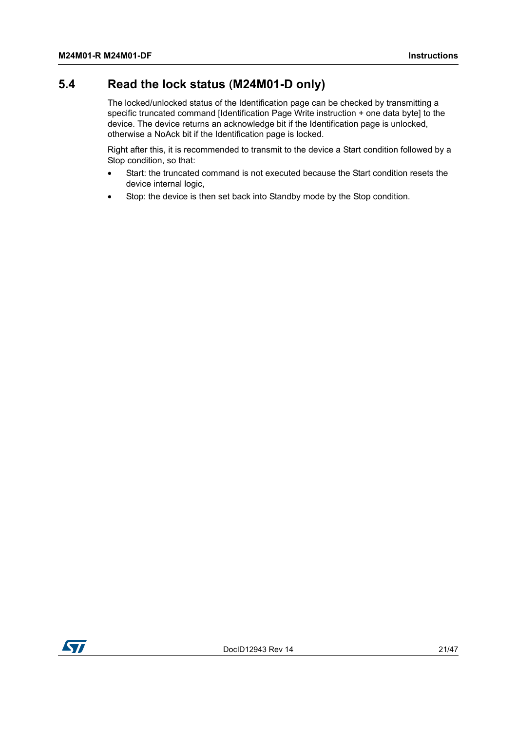## <span id="page-20-0"></span>**5.4 Read the lock status (M24M01-D only)**

The locked/unlocked status of the Identification page can be checked by transmitting a specific truncated command [Identification Page Write instruction + one data byte] to the device. The device returns an acknowledge bit if the Identification page is unlocked, otherwise a NoAck bit if the Identification page is locked.

Right after this, it is recommended to transmit to the device a Start condition followed by a Stop condition, so that:

- Start: the truncated command is not executed because the Start condition resets the device internal logic,
- Stop: the device is then set back into Standby mode by the Stop condition.

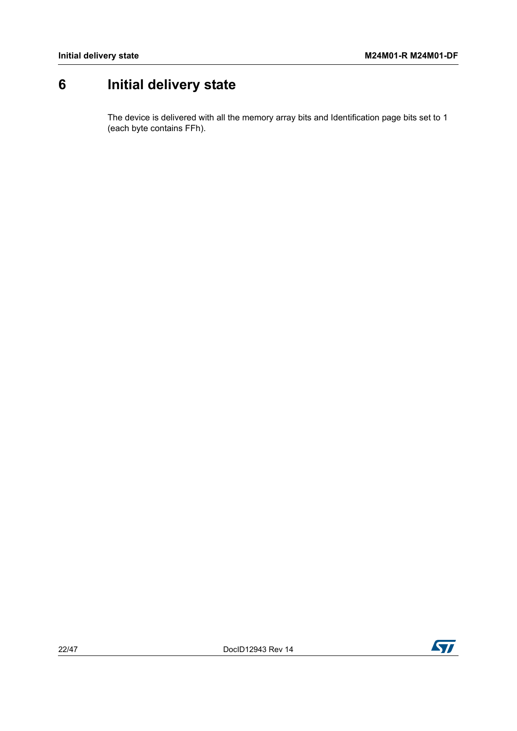# <span id="page-21-0"></span>**6 Initial delivery state**

The device is delivered with all the memory array bits and Identification page bits set to 1 (each byte contains FFh).

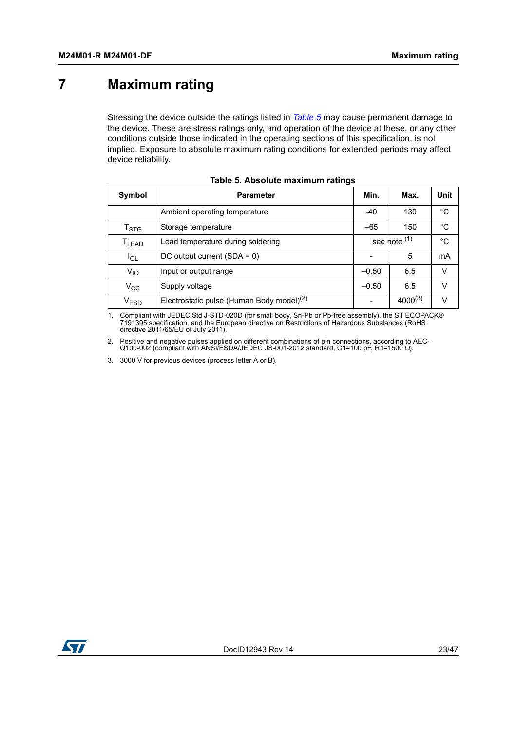# <span id="page-22-0"></span>**7 Maximum rating**

Stressing the device outside the ratings listed in *[Table](#page-22-1) 5* may cause permanent damage to the device. These are stress ratings only, and operation of the device at these, or any other conditions outside those indicated in the operating sections of this specification, is not implied. Exposure to absolute maximum rating conditions for extended periods may affect device reliability.

<span id="page-22-1"></span>

| Symbol                      | <b>Parameter</b>                                      |              | Max.         | Unit |
|-----------------------------|-------------------------------------------------------|--------------|--------------|------|
|                             | Ambient operating temperature                         | $-40$        | 130          | °C   |
| $\mathsf{T}_{\textsf{STG}}$ | Storage temperature                                   | $-65$        | 150          | °C   |
| T <sub>LEAD</sub>           | Lead temperature during soldering                     | see note (1) |              | °C   |
| $I_{OL}$                    | DC output current $(SDA = 0)$                         |              | 5            | mA   |
| $V_{10}$                    | Input or output range                                 | $-0.50$      | 6.5          | v    |
| $V_{\rm CC}$                | Supply voltage                                        | $-0.50$      | 6.5          | V    |
| $V_{ESD}$                   | Electrostatic pulse (Human Body model) <sup>(2)</sup> |              | $4000^{(3)}$ | V    |

| Table 5. Absolute maximum ratings |  |  |  |  |
|-----------------------------------|--|--|--|--|
|-----------------------------------|--|--|--|--|

1. Compliant with JEDEC Std J-STD-020D (for small body, Sn-Pb or Pb-free assembly), the ST ECOPACK®<br>7191395 specification, and the European directive on Restrictions of Hazardous Substances (RoHS<br>directive 2011/65/EU of Ju

2. Positive and negative pulses applied on different combinations of pin connections, according to AEC-Q100-002 (compliant with ANSI/ESDA/JEDEC JS-001-2012 standard, C1=100 pF, R1=1500 Ω).

3. 3000 V for previous devices (process letter A or B).

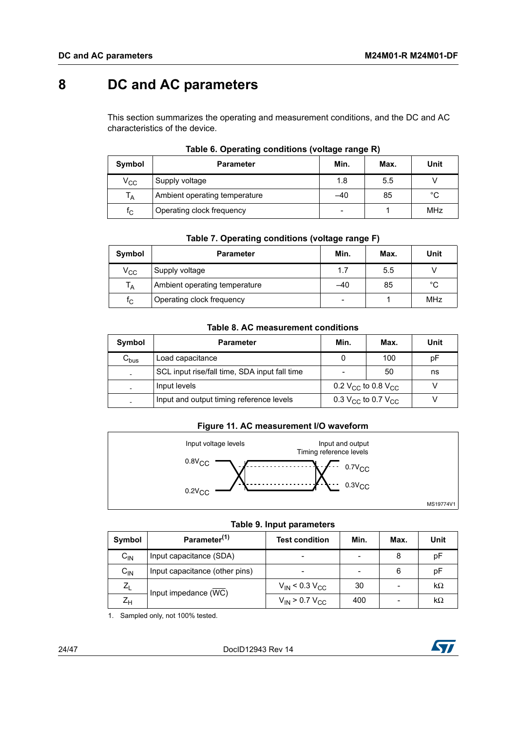# <span id="page-23-0"></span>**8 DC and AC parameters**

This section summarizes the operating and measurement conditions, and the DC and AC characteristics of the device.

<span id="page-23-1"></span>

| Symbol                  | <b>Parameter</b>              | Min.                     | Max. | Unit         |
|-------------------------|-------------------------------|--------------------------|------|--------------|
| $V_{\rm CC}$            | Supply voltage                | 1.8                      | 5.5  |              |
| $T_A$                   | Ambient operating temperature | $-40$                    | 85   | $^{\circ}$ C |
| $\mathsf{f}_\mathsf{C}$ | Operating clock frequency     | $\overline{\phantom{0}}$ |      | <b>MHz</b>   |

|  |  | Table 6. Operating conditions (voltage range R) |  |  |
|--|--|-------------------------------------------------|--|--|
|--|--|-------------------------------------------------|--|--|

<span id="page-23-2"></span>

| Symbol       | <b>Parameter</b>              | Min.  | Max. | Unit       |
|--------------|-------------------------------|-------|------|------------|
| $\rm v_{cc}$ | Supply voltage                | 1.7   | 5.5  |            |
| $T_A$        | Ambient operating temperature | $-40$ | 85   | °C         |
| $f_{\rm C}$  | Operating clock frequency     | -     |      | <b>MHz</b> |

#### **Table 8. AC measurement conditions**

<span id="page-23-3"></span>

| Symbol                    | <b>Parameter</b>                              | Min.                                       | Max. | Unit |
|---------------------------|-----------------------------------------------|--------------------------------------------|------|------|
| $\mathsf{C}_\mathsf{bus}$ | Load capacitance                              |                                            | 100  | рF   |
|                           | SCL input rise/fall time, SDA input fall time |                                            | 50   | ns   |
|                           | Input levels                                  | 0.2 V <sub>CC</sub> to 0.8 V <sub>CC</sub> |      |      |
|                           | Input and output timing reference levels      | 0.3 V <sub>CC</sub> to 0.7 V <sub>CC</sub> |      |      |

#### **Figure 11. AC measurement I/O waveform**

<span id="page-23-5"></span>

#### **Table 9. Input parameters**

<span id="page-23-4"></span>

| Symbol           | Parameter <sup>(1)</sup>       | <b>Test condition</b>   | Min.                     | Max. | Unit      |
|------------------|--------------------------------|-------------------------|--------------------------|------|-----------|
| $C_{IN}$         | Input capacitance (SDA)        | ۰                       | -                        | 8    | pF        |
| $C_{IN}$         | Input capacitance (other pins) |                         | $\overline{\phantom{0}}$ | 6    | pF        |
| $Z_L$            | Input impedance (WC)           | $V_{IN}$ < 0.3 $V_{CC}$ | 30                       |      | $k\Omega$ |
| $Z_{\mathsf{H}}$ |                                | $V_{IN}$ > 0.7 $V_{CC}$ | 400                      |      | $k\Omega$ |

1. Sampled only, not 100% tested.

24/[47](#page-46-0) DocID12943 Rev 14

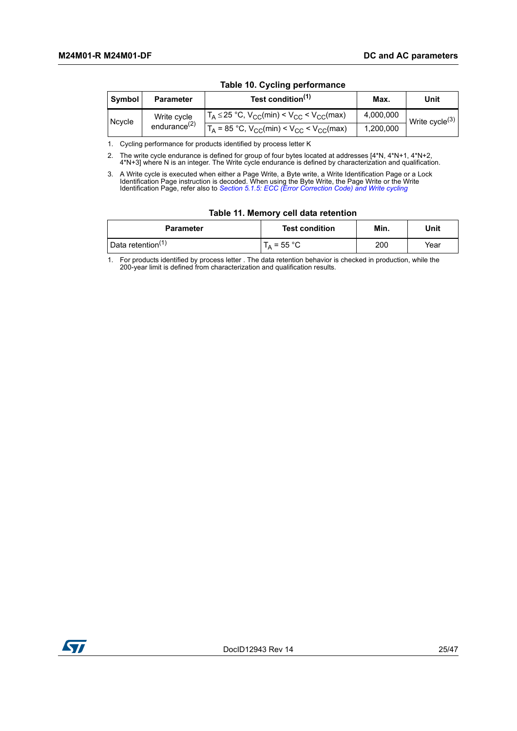<span id="page-24-0"></span>

| Symbol | <b>Parameter</b>   | Test condition <sup>(1)</sup>                                                  | Max.      | Unit              |
|--------|--------------------|--------------------------------------------------------------------------------|-----------|-------------------|
|        | Write cycle        | $T_A \le 25$ °C, $V_{CC}(min) < V_{CC} < V_{CC}(max)$                          | 4,000,000 | Write cycle $(3)$ |
| Ncycle | endurance $^{(2)}$ | $T_A$ = 85 °C, V <sub>CC</sub> (min) < V <sub>CC</sub> < V <sub>CC</sub> (max) | 1,200,000 |                   |

#### **Table 10. Cycling performance**

1. Cycling performance for products identified by process letter K

2. The write cycle endurance is defined for group of four bytes located at addresses [4\*N, 4\*N+1, 4\*N+2, 4\*N+3] where N is an integer. The Write cycle endurance is defined by characterization and qualification.

3. A Write cycle is executed when either a Page Write, a Byte write, a Write Identification Page or a Lock Identification Page instruction is decoded. When using the Byte Write, the Page Write or the Write Identification Page, refer also to *[Section 5.1.5: ECC \(Error Correction Code\) and Write cycling](#page-16-2)*

|  |  |  | Table 11. Memory cell data retention |  |
|--|--|--|--------------------------------------|--|
|--|--|--|--------------------------------------|--|

<span id="page-24-1"></span>

| $1800$ $11.1001101$ $1.0011$ and $10001101$ |                       |      |      |  |  |
|---------------------------------------------|-----------------------|------|------|--|--|
| <b>Parameter</b>                            | <b>Test condition</b> | Min. | Unit |  |  |
| Data retention <sup>(1)</sup>               | $T_A$ = 55 °C         | 200  | Year |  |  |

1. For products identified by process letter . The data retention behavior is checked in production, while the 200-year limit is defined from characterization and qualification results.

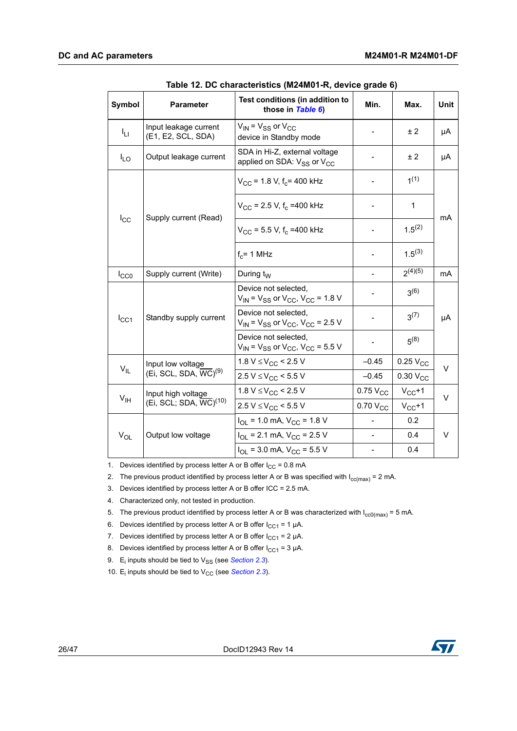<span id="page-25-0"></span>

| <b>Symbol</b>   | <b>Parameter</b>                                 | Test conditions (in addition to<br>those in Table 6)                                | Min.                     | Max.                   | <b>Unit</b> |  |
|-----------------|--------------------------------------------------|-------------------------------------------------------------------------------------|--------------------------|------------------------|-------------|--|
| Iы              | Input leakage current<br>(E1, E2, SCL, SDA)      | $V_{IN}$ = $V_{SS}$ or $V_{CC}$<br>device in Standby mode                           |                          | ±2                     | μA          |  |
| $I_{LO}$        | Output leakage current                           | SDA in Hi-Z, external voltage<br>applied on SDA: V <sub>SS</sub> or V <sub>CC</sub> |                          | ±2                     | μA          |  |
|                 |                                                  | $V_{CC}$ = 1.8 V, f <sub>c</sub> = 400 kHz                                          |                          | 1(1)                   |             |  |
| $I_{\rm CC}$    | Supply current (Read)                            | $V_{\rm CC}$ = 2.5 V, f <sub>c</sub> = 400 kHz                                      |                          | 1                      | mA          |  |
|                 |                                                  | $V_{CC}$ = 5.5 V, f <sub>c</sub> = 400 kHz                                          | $\overline{\phantom{a}}$ | $1.5^{(2)}$            |             |  |
|                 |                                                  | $f_c$ = 1 MHz                                                                       |                          | $1.5^{(3)}$            |             |  |
| $I_{CC0}$       | Supply current (Write)                           | During $t_W$                                                                        |                          | $2^{(4)(5)}$           | mA          |  |
|                 |                                                  | Device not selected.<br>$V_{IN}$ = $V_{SS}$ or $V_{CC}$ , $V_{CC}$ = 1.8 V          |                          | $3^{(6)}$              | μA          |  |
| $I_{\rm CC1}$   | Standby supply current                           | Device not selected,<br>$V_{IN}$ = $V_{SS}$ or $V_{CC}$ , $V_{CC}$ = 2.5 V          |                          | $3^{(7)}$              |             |  |
|                 |                                                  | Device not selected.<br>$V_{IN}$ = $V_{SS}$ or $V_{CC}$ , $V_{CC}$ = 5.5 V          |                          | $5^{(8)}$              |             |  |
|                 | Input low voltage                                | 1.8 V $\leq$ V <sub>CC</sub> < 2.5 V                                                | $-0.45$                  | $0.25$ $V_{CC}$        | $\vee$      |  |
| $V_{IL}$        | (Ei, SCL, SDA, $\overline{WC}$ ) <sup>(9)</sup>  | $2.5 V \leq V_{CC}$ < 5.5 V                                                         | $-0.45$                  | $0.30$ V <sub>CC</sub> |             |  |
|                 | Input high voltage                               | 1.8 $V \leq V_{CC}$ < 2.5 V                                                         | $0.75$ $V_{CC}$          | $V_{CC}+1$             | $\vee$      |  |
| V <sub>IH</sub> | (Ei, SCL; SDA, $\overline{WC}$ ) <sup>(10)</sup> | $2.5 V \leq V_{CC}$ < 5.5 V                                                         | $0.70 V_{CC}$            | $V_{CC}+1$             |             |  |
|                 |                                                  | $I_{OL}$ = 1.0 mA, $V_{CC}$ = 1.8 V                                                 |                          | 0.2                    |             |  |
| $V_{OL}$        | Output low voltage                               | $I_{\text{OI}}$ = 2.1 mA, $V_{\text{CC}}$ = 2.5 V                                   |                          | 0.4                    | V           |  |
|                 |                                                  | $I_{\text{OI}}$ = 3.0 mA, $V_{\text{CC}}$ = 5.5 V                                   |                          | 0.4                    |             |  |

1. Devices identified by process letter A or B offer  $I_{CC} = 0.8$  mA

2. The previous product identified by process letter A or B was specified with  $I_{cc(max)} = 2$  mA.

3. Devices identified by process letter A or B offer ICC = 2.5 mA.

4. Characterized only, not tested in production.

5. The previous product identified by process letter A or B was characterized with  $I_{cc0(max)} = 5$  mA.

6. Devices identified by process letter A or B offer  $I_{CC1} = 1 \mu A$ .

7. Devices identified by process letter A or B offer  $I_{CC1} = 2 \mu A$ .

8. Devices identified by process letter A or B offer  $I_{CC1}$  = 3 µA.

- 9. E<sub>i</sub> inputs should be tied to V<sub>SS</sub> (see *Section 2.3*).
- 10.  $E_i$  inputs should be tied to  $V_{CC}$  (see *Section 2.3*).

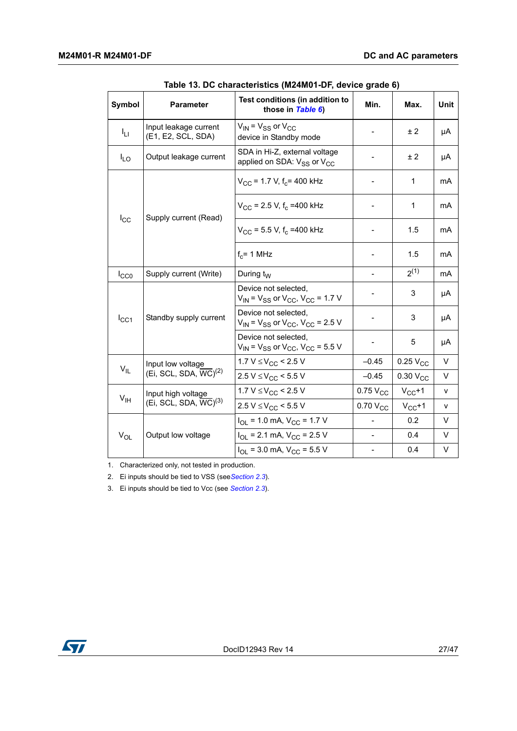<span id="page-26-0"></span>

| Symbol          | <b>Parameter</b>                                | Test conditions (in addition to<br>those in Table 6)                                | Min.                     | Max.                 | <b>Unit</b> |
|-----------------|-------------------------------------------------|-------------------------------------------------------------------------------------|--------------------------|----------------------|-------------|
| Īц              | Input leakage current<br>(E1, E2, SCL, SDA)     | $V_{\text{IN}}$ = $V_{SS}$ or $V_{CC}$<br>device in Standby mode                    |                          | ± 2                  | μA          |
| $I_{LO}$        | Output leakage current                          | SDA in Hi-Z, external voltage<br>applied on SDA: V <sub>SS</sub> or V <sub>CC</sub> |                          | ±2                   | μA          |
|                 |                                                 | $V_{\rm CC}$ = 1.7 V, $f_{\rm c}$ = 400 kHz                                         |                          | 1                    | mA          |
| $I_{\rm CC}$    | Supply current (Read)                           | $V_{\rm CC}$ = 2.5 V, f <sub>c</sub> = 400 kHz                                      |                          | 1                    | mA          |
|                 |                                                 | $V_{CC}$ = 5.5 V, f <sub>c</sub> = 400 kHz                                          | $\overline{\phantom{a}}$ | 1.5                  | mA          |
|                 |                                                 | $f_c$ = 1 MHz                                                                       |                          | 1.5                  | mA          |
| $I_{CC0}$       | Supply current (Write)                          | During $t_W$                                                                        |                          | $2^{(1)}$            | mA          |
|                 |                                                 | Device not selected.<br>$V_{IN}$ = $V_{SS}$ or $V_{CC}$ , $V_{CC}$ = 1.7 V          |                          | 3                    | μA          |
| $I_{\rm CC1}$   | Standby supply current                          | Device not selected,<br>$V_{IN}$ = $V_{SS}$ or $V_{CC}$ , $V_{CC}$ = 2.5 V          |                          | 3                    | μA          |
|                 |                                                 | Device not selected,<br>$V_{IN}$ = $V_{SS}$ or $V_{CC}$ , $V_{CC}$ = 5.5 V          |                          | 5                    | μA          |
|                 | Input low voltage                               | 1.7 $V \leq V_{CC}$ < 2.5 V                                                         | $-0.45$                  | $0.25$ $V_{CC}$      | V           |
| $V_{IL}$        | (Ei, SCL, SDA, $\overline{WC}$ ) <sup>(2)</sup> | $2.5 V \leq V_{CC}$ < 5.5 V                                                         | $-0.45$                  | 0.30 V <sub>CC</sub> | V           |
|                 | Input high voltage                              | 1.7 $V \leq V_{CC}$ < 2.5 V                                                         | $0.75$ $V_{CC}$          | $V_{CC}+1$           | ۷           |
| $V_{\text{IH}}$ | (Ei, SCL, SDA, $\overline{WC}$ ) <sup>(3)</sup> | $2.5 V \leq V_{CC}$ < 5.5 V                                                         | $0.70 V_{CC}$            | $V_{CC}+1$           | v           |
|                 |                                                 | $I_{OL}$ = 1.0 mA, $V_{CC}$ = 1.7 V                                                 |                          | 0.2                  | V           |
| $V_{OL}$        | Output low voltage                              | $I_{\text{OI}}$ = 2.1 mA, $V_{\text{CC}}$ = 2.5 V                                   |                          | 0.4                  | V           |
|                 |                                                 | $I_{\text{OI}}$ = 3.0 mA, $V_{\text{CC}}$ = 5.5 V                                   |                          | 0.4                  | V           |

1. Characterized only, not tested in production.

2. Ei inputs should be tied to VSS (see*Section 2.3*).

3. Ei inputs should be tied to Vcc (see *Section 2.3*).

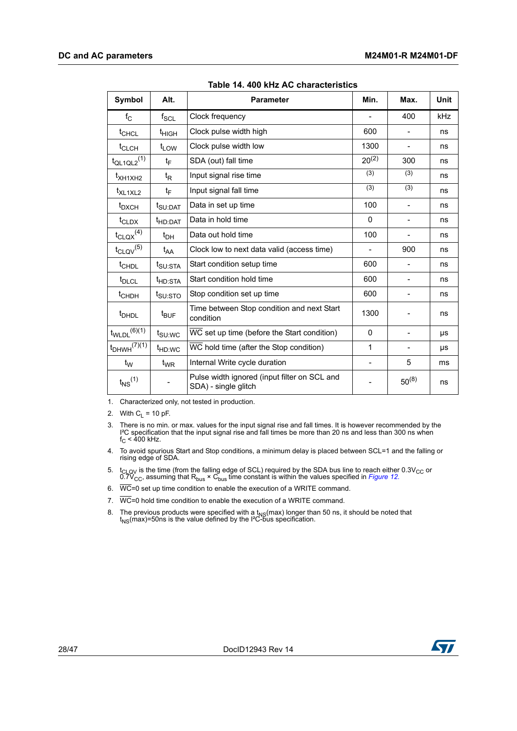<span id="page-27-0"></span>

| <b>Symbol</b>                | Alt.                | <b>Parameter</b>                                                     | Min.         | Max.       | <b>Unit</b> |
|------------------------------|---------------------|----------------------------------------------------------------------|--------------|------------|-------------|
| $f_{\rm C}$                  | $f_{\rm SCL}$       | Clock frequency                                                      |              | 400        | kHz         |
| $t_{CHCL}$                   | t <sub>HIGH</sub>   | Clock pulse width high                                               | 600          |            | ns          |
| t <sub>CLCH</sub>            | $t_{LOW}$           | Clock pulse width low                                                | 1300         |            | ns          |
| $t_{QL1QL2}$ <sup>(1)</sup>  | tF                  | SDA (out) fall time                                                  | $20^{(2)}$   | 300        | ns          |
| t <sub>XH1XH2</sub>          | t <sub>R</sub>      | Input signal rise time                                               | (3)          | (3)        | ns          |
| t <sub>XL1XL2</sub>          | t⊧                  | Input signal fall time                                               | (3)          | (3)        | ns          |
| t <sub>DXCH</sub>            | t <sub>SU:DAT</sub> | Data in set up time                                                  | 100          |            | ns          |
| $t_{\text{CLDX}}$            | <sup>t</sup> HD:DAT | Data in hold time                                                    | $\Omega$     |            | ns          |
| $t_{\text{CLQX}}^{(4)}$      | $t_{DH}$            | Data out hold time                                                   | 100          |            | ns          |
| $t_{\text{CLQV}}^{(5)}$      | $t_{AA}$            | Clock low to next data valid (access time)                           |              | 900        | ns          |
| t <sub>CHDL</sub>            | t <sub>SU:STA</sub> | Start condition setup time                                           | 600          |            | ns          |
| t <sub>DLCL</sub>            | <sup>t</sup> HD:STA | Start condition hold time                                            | 600          |            | ns          |
| t <sub>CHDH</sub>            | $t_{\text{SU:STO}}$ | Stop condition set up time                                           | 600          |            | ns          |
| <sup>t</sup> DHDL            | $t_{\text{BUF}}$    | Time between Stop condition and next Start<br>condition              | 1300         |            | ns          |
| $t_{WLDL}$ <sup>(6)(1)</sup> | $t_{\text{SU:WC}}$  | WC set up time (before the Start condition)                          | $\mathbf{0}$ |            | μs          |
| $t_{DHWH}$ $(7)(1)$          | t <sub>HD:WC</sub>  | WC hold time (after the Stop condition)                              | 1            |            | μs          |
| $t_{\mathsf{W}}$             | $t_{WR}$            | Internal Write cycle duration                                        |              | 5          | ms          |
| $t_{NS}$ <sup>(1)</sup>      |                     | Pulse width ignored (input filter on SCL and<br>SDA) - single glitch |              | $50^{(8)}$ | ns          |

**Table 14. 400 kHz AC characteristics** 

1. Characterized only, not tested in production.

2. With  $C_L$  = 10 pF.

3. There is no min. or max. values for the input signal rise and fall times. It is however recommended by the l<del>'</del>C specification that the input signal rise and fall times be more than 20 ns and less than 300 ns when<br>f<sub>C</sub> < 400 kHz.

4. To avoid spurious Start and Stop conditions, a minimum delay is placed between SCL=1 and the falling or rising edge of SDA.

5.  $t_{\text{CLOV}}$  is the time (from the falling edge of SCL) required by the SDA bus line to reach either 0.3V<sub>CC</sub> or 0.7V<sub>CC</sub>, assuming that R<sub>bus</sub> × C<sub>bus</sub> time constant is within the values specified in *[Figure 12](#page-29-0).* 

6.  $\overline{WC}$ =0 set up time condition to enable the execution of a WRITE command.

7.  $\overline{WC}$  =0 hold time condition to enable the execution of a WRITE command.

8. The previous products were specified with a  $t_{NS}(max)$  longer than 50 ns, it should be noted that  $t_{NS}(max)=50$ ns is the value defined by the I<sup>2</sup>C-bus specification.

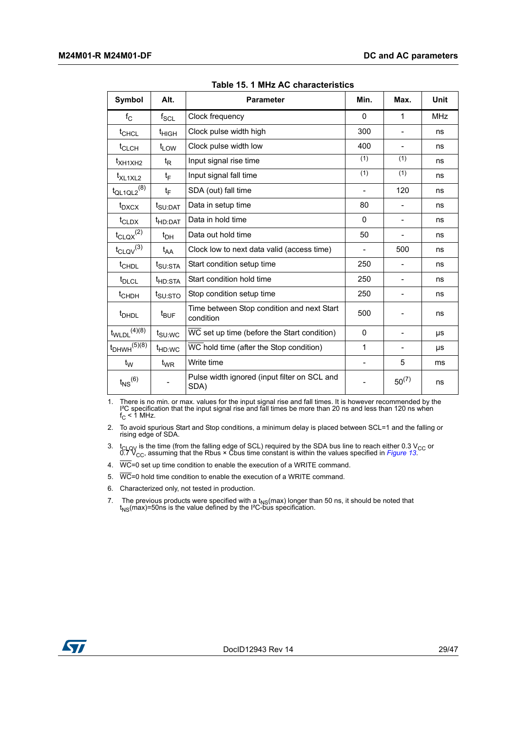<span id="page-28-0"></span>

| Symbol                       | Alt.                | <b>Parameter</b>                                        | Min.           | Max.                     | <b>Unit</b> |
|------------------------------|---------------------|---------------------------------------------------------|----------------|--------------------------|-------------|
| $f_{\rm C}$                  | $f_{\rm SCL}$       | Clock frequency                                         | 0              | $\mathbf 1$              | <b>MHz</b>  |
| t <sub>CHCL</sub>            | t <sub>HIGH</sub>   | Clock pulse width high                                  | 300            | $\overline{\phantom{a}}$ | ns          |
| $t_{CLCH}$                   | $t_{LOW}$           | Clock pulse width low                                   | 400            |                          | ns          |
| t <sub>XH1XH2</sub>          | $t_{\mathsf{R}}$    | Input signal rise time                                  | (1)            | (1)                      | ns          |
| t <sub>XL1XL2</sub>          | t⊧                  | Input signal fall time                                  | (1)            | (1)                      | ns          |
| $t_{QL1QL2}$ <sup>(8)</sup>  | t <sub>F</sub>      | SDA (out) fall time                                     | $\overline{a}$ | 120                      | ns          |
| $t_{\text{DXCX}}$            | t <sub>SU:DAT</sub> | Data in setup time                                      | 80             |                          | ns          |
| $t_{\text{CLDX}}$            | t <sub>HD:DAT</sub> | Data in hold time                                       | 0              | $\overline{\phantom{a}}$ | ns          |
| $t_{\text{CLQX}}^{(2)}$      | $t_{DH}$            | Data out hold time                                      | 50             |                          | ns          |
| $t_{\text{CLQV}}^{(3)}$      | t <sub>AA</sub>     | Clock low to next data valid (access time)              |                | 500                      | ns          |
| $t$ <sub>CHDL</sub>          | t <sub>SU:STA</sub> | Start condition setup time                              | 250            |                          | ns          |
| t <sub>DLCL</sub>            | t <sub>HD:STA</sub> | Start condition hold time                               | 250            |                          | ns          |
| t <sub>CHDH</sub>            | t <sub>SU:STO</sub> | Stop condition setup time                               | 250            | $\qquad \qquad -$        | ns          |
| <sup>t</sup> DHDL            | $t_{\text{BUF}}$    | Time between Stop condition and next Start<br>condition | 500            |                          | ns          |
| $t_{WLDL}$ <sup>(4)(8)</sup> | $t_{SU:WC}$         | WC set up time (before the Start condition)             | 0              | $\overline{\phantom{a}}$ | μs          |
| $t_{DHWH}^{(5)(8)}$          | $t_{HD:WC}$         | WC hold time (after the Stop condition)                 | 1              |                          | μs          |
| $t_{\mathsf{W}}$             | $t_{WR}$            | Write time                                              |                | 5                        | ms          |
| $t_{NS}$ <sup>(6)</sup>      |                     | Pulse width ignored (input filter on SCL and<br>SDA)    |                | $50^{(7)}$               | ns          |

**Table 15. 1 MHz AC characteristics** 

1. There is no min. or max. values for the input signal rise and fall times. It is however recommended by the I<sup>2</sup>C specification that the input signal rise and fall times be more than 20 ns and less than 120 ns when  $f_C <$ 

2. To avoid spurious Start and Stop conditions, a minimum delay is placed between SCL=1 and the falling or rising edge of SDA.

3. t<sub>CLQV</sub> is the time (from the falling edge of SCL) required by the SDA bus line to reach either 0.3 V<sub>CC</sub> or 0.7 V<sub>CC</sub>, assuming that the Rbus × Cbus time constant is within the values specified in *Figure 13*.

4.  $\overline{WC}$ =0 set up time condition to enable the execution of a WRITE command.

5.  $\overline{WC}$ =0 hold time condition to enable the execution of a WRITE command.

6. Characterized only, not tested in production.

7. The previous products were specified with a  $t_{NS}$ (max) longer than 50 ns, it should be noted that  $t_{NS}$ (max)=50ns is the value defined by the I<sup>2</sup>C-bus specification.

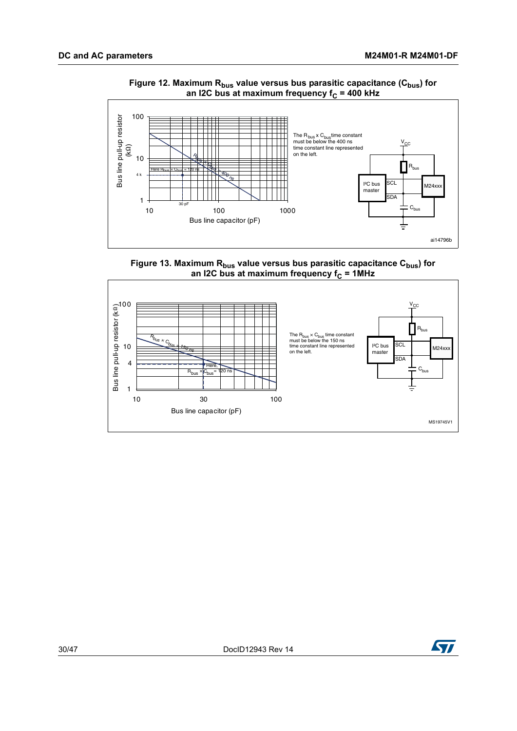<span id="page-29-0"></span>

#### Figure 12. Maximum R<sub>bus</sub> value versus bus parasitic capacitance (C<sub>bus</sub>) for an I2C bus at maximum frequency f<sub>C</sub> = 400 kHz

Figure 13. Maximum R<sub>bus</sub> value versus bus parasitic capacitance C<sub>bus</sub>) for an I2C bus at maximum frequency f<sub>C</sub> = 1MHz

<span id="page-29-1"></span>

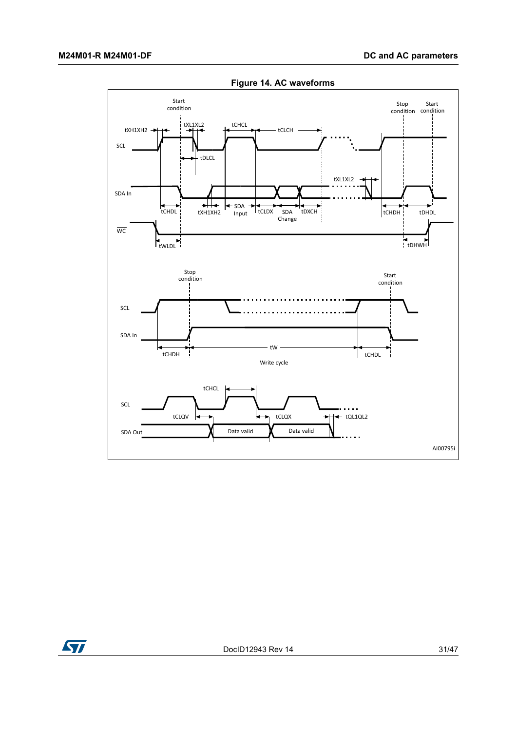<span id="page-30-0"></span>

**Figure 14. AC waveforms** 

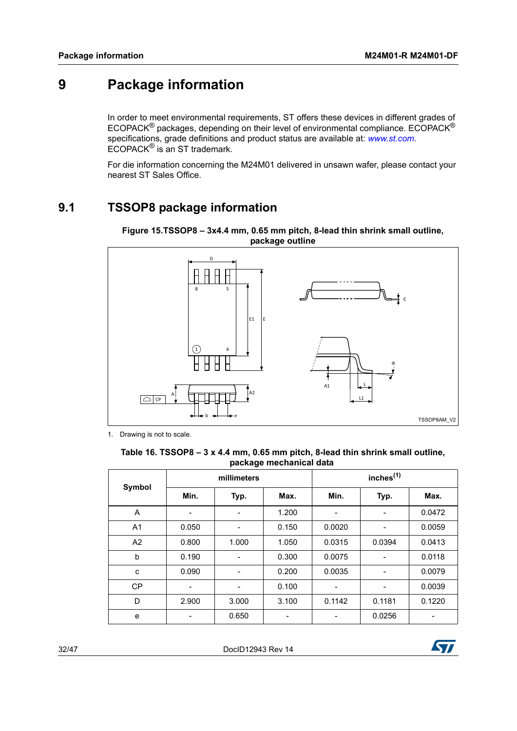# <span id="page-31-0"></span>**9 Package information**

In order to meet environmental requirements, ST offers these devices in different grades of ECOPACK® packages, depending on their level of environmental compliance. ECOPACK® specifications, grade definitions and product status are available at: *www.st.com*. ECOPACK® is an ST trademark.

For die information concerning the M24M01 delivered in unsawn wafer, please contact your nearest ST Sales Office.

## <span id="page-31-1"></span>**9.1 TSSOP8 package information**



<span id="page-31-3"></span>**Figure 15.TSSOP8 – 3x4.4 mm, 0.65 mm pitch, 8-lead thin shrink small outline, package outline**

1. Drawing is not to scale.

#### <span id="page-31-2"></span>**Table 16. TSSOP8 – 3 x 4.4 mm, 0.65 mm pitch, 8-lead thin shrink small outline, package mechanical data**

|                |       | millimeters |       |        | inches <sup>(1)</sup> |        |
|----------------|-------|-------------|-------|--------|-----------------------|--------|
| Symbol         | Min.  | Typ.        | Max.  | Min.   | Typ.                  | Max.   |
| A              |       | -           | 1.200 |        | ۰                     | 0.0472 |
| A <sub>1</sub> | 0.050 | -           | 0.150 | 0.0020 |                       | 0.0059 |
| A <sub>2</sub> | 0.800 | 1.000       | 1.050 | 0.0315 | 0.0394                | 0.0413 |
| b              | 0.190 |             | 0.300 | 0.0075 |                       | 0.0118 |
| c              | 0.090 |             | 0.200 | 0.0035 |                       | 0.0079 |
| <b>CP</b>      |       | -           | 0.100 |        | -                     | 0.0039 |
| D              | 2.900 | 3.000       | 3.100 | 0.1142 | 0.1181                | 0.1220 |
| e              |       | 0.650       |       |        | 0.0256                |        |

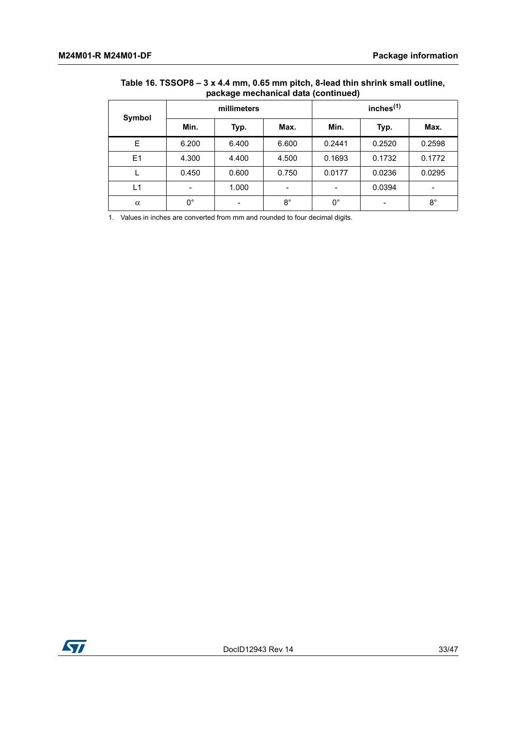#### **Table 16. TSSOP8 – 3 x 4.4 mm, 0.65 mm pitch, 8-lead thin shrink small outline, package mechanical data (continued)**

|          |                          | millimeters              |             |             | inches $(1)$             |             |
|----------|--------------------------|--------------------------|-------------|-------------|--------------------------|-------------|
| Symbol   | Min.                     | Typ.                     | Max.        | Min.        | Typ.                     | Max.        |
| E        | 6.200                    | 6.400                    | 6.600       | 0.2441      | 0.2520                   | 0.2598      |
| E1       | 4.300                    | 4.400                    | 4.500       | 0.1693      | 0.1732                   | 0.1772      |
|          | 0.450                    | 0.600                    | 0.750       | 0.0177      | 0.0236                   | 0.0295      |
| L1       | $\overline{\phantom{0}}$ | 1.000                    | -           | -           | 0.0394                   | -           |
| $\alpha$ | $0^{\circ}$              | $\overline{\phantom{a}}$ | $8^{\circ}$ | $0^{\circ}$ | $\overline{\phantom{a}}$ | $8^{\circ}$ |

1. Values in inches are converted from mm and rounded to four decimal digits.

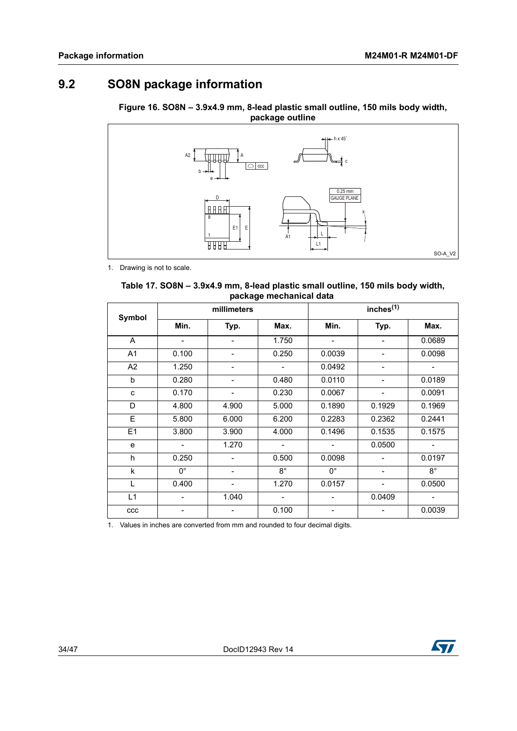## <span id="page-33-0"></span>**9.2 SO8N package information**

<span id="page-33-2"></span>**Figure 16. SO8N – 3.9x4.9 mm, 8-lead plastic small outline, 150 mils body width, package outline**



1. Drawing is not to scale.

<span id="page-33-1"></span>

| Table 17. SO8N – 3.9x4.9 mm, 8-lead plastic small outline, 150 mils body width, |  |
|---------------------------------------------------------------------------------|--|
| package mechanical data                                                         |  |

| Symbol         |             | millimeters              |                          | inches <sup>(1)</sup>        |                          |             |
|----------------|-------------|--------------------------|--------------------------|------------------------------|--------------------------|-------------|
|                | Min.        | Typ.                     | Max.                     | Min.                         | Typ.                     | Max.        |
| A              |             | $\overline{\phantom{a}}$ | 1.750                    | $\qquad \qquad \blacksquare$ |                          | 0.0689      |
| A <sub>1</sub> | 0.100       | -                        | 0.250                    | 0.0039                       | -                        | 0.0098      |
| A2             | 1.250       | $\overline{\phantom{a}}$ |                          | 0.0492                       | $\blacksquare$           |             |
| b              | 0.280       | -                        | 0.480                    | 0.0110                       |                          | 0.0189      |
| C              | 0.170       | -                        | 0.230                    | 0.0067                       |                          | 0.0091      |
| $\mathsf D$    | 4.800       | 4.900                    | 5.000                    | 0.1890                       | 0.1929                   | 0.1969      |
| E              | 5.800       | 6.000                    | 6.200                    | 0.2283                       | 0.2362                   | 0.2441      |
| E1             | 3.800       | 3.900                    | 4.000                    | 0.1496                       | 0.1535                   | 0.1575      |
| e              |             | 1.270                    | $\blacksquare$           |                              | 0.0500                   | $\sim$      |
| h              | 0.250       |                          | 0.500                    | 0.0098                       |                          | 0.0197      |
| k              | $0^{\circ}$ | $\overline{\phantom{a}}$ | $8^{\circ}$              | $0^{\circ}$                  | $\overline{\phantom{a}}$ | $8^{\circ}$ |
| L              | 0.400       | $\overline{\phantom{0}}$ | 1.270                    | 0.0157                       |                          | 0.0500      |
| L1             |             | 1.040                    | $\overline{\phantom{a}}$ |                              | 0.0409                   | -           |
| ccc            |             |                          | 0.100                    |                              |                          | 0.0039      |

1. Values in inches are converted from mm and rounded to four decimal digits.

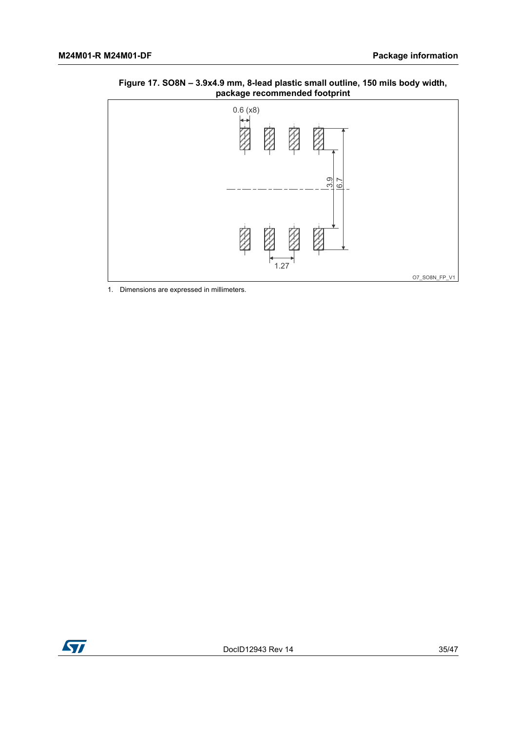<span id="page-34-0"></span>



1. Dimensions are expressed in millimeters.

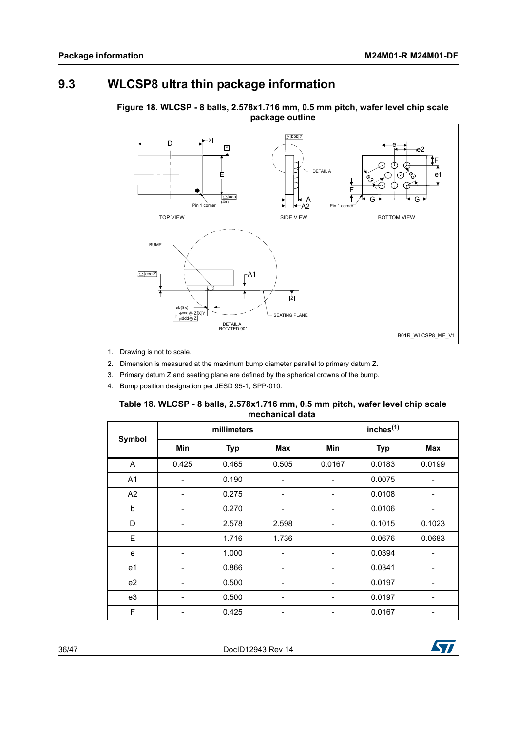## <span id="page-35-0"></span>**9.3 WLCSP8 ultra thin package information**



<span id="page-35-2"></span>**Figure 18. WLCSP - 8 balls, 2.578x1.716 mm, 0.5 mm pitch, wafer level chip scale package outline**

- 1. Drawing is not to scale.
- 2. Dimension is measured at the maximum bump diameter parallel to primary datum Z.
- 3. Primary datum Z and seating plane are defined by the spherical crowns of the bump.
- 4. Bump position designation per JESD 95-1, SPP-010.

<span id="page-35-1"></span>

| Table 18. WLCSP - 8 balls, 2.578x1.716 mm, 0.5 mm pitch, wafer level chip scale |                 |  |  |
|---------------------------------------------------------------------------------|-----------------|--|--|
|                                                                                 | mechanical data |  |  |

| Symbol         |       | millimeters |            | inches <sup>(1)</sup> |            |            |  |
|----------------|-------|-------------|------------|-----------------------|------------|------------|--|
|                | Min   | <b>Typ</b>  | <b>Max</b> | Min                   | <b>Typ</b> | <b>Max</b> |  |
| A              | 0.425 | 0.465       | 0.505      | 0.0167                | 0.0183     | 0.0199     |  |
| A <sub>1</sub> |       | 0.190       | -          |                       | 0.0075     | -          |  |
| A2             |       | 0.275       |            |                       | 0.0108     |            |  |
| b              |       | 0.270       |            |                       | 0.0106     |            |  |
| D              | -     | 2.578       | 2.598      |                       | 0.1015     | 0.1023     |  |
| Е              |       | 1.716       | 1.736      |                       | 0.0676     | 0.0683     |  |
| e              |       | 1.000       |            |                       | 0.0394     |            |  |
| e <sub>1</sub> |       | 0.866       |            |                       | 0.0341     |            |  |
| e2             |       | 0.500       | ۰          |                       | 0.0197     | -          |  |
| e3             |       | 0.500       |            |                       | 0.0197     |            |  |
| F              |       | 0.425       | -          |                       | 0.0167     | -          |  |

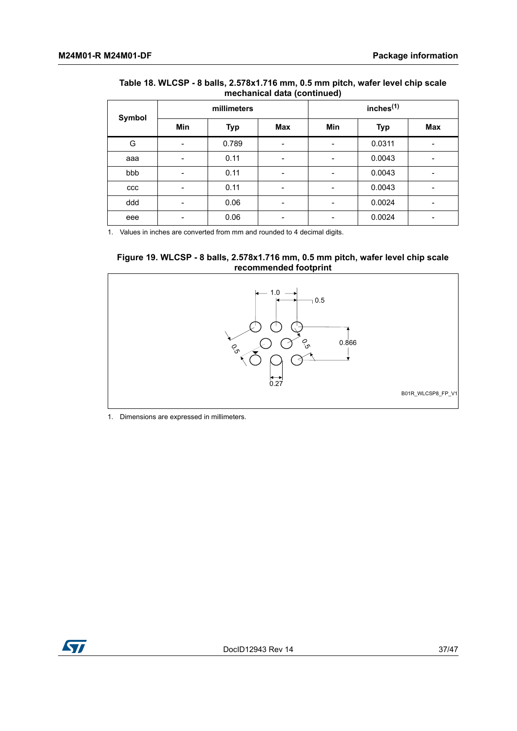#### **Table 18. WLCSP - 8 balls, 2.578x1.716 mm, 0.5 mm pitch, wafer level chip scale mechanical data (continued)**

|     | millimeters   |       |                              | inches <sup>(1)</sup> |            |            |
|-----|---------------|-------|------------------------------|-----------------------|------------|------------|
|     | Symbol<br>Min |       | Max                          | Min                   | <b>Typ</b> | <b>Max</b> |
| G   |               | 0.789 | $\qquad \qquad \blacksquare$ |                       | 0.0311     |            |
| aaa |               | 0.11  | $\qquad \qquad \blacksquare$ |                       | 0.0043     |            |
| bbb |               | 0.11  | $\overline{\phantom{a}}$     |                       | 0.0043     |            |
| ccc |               | 0.11  | -                            | -                     | 0.0043     |            |
| ddd |               | 0.06  | -                            |                       | 0.0024     |            |
| eee |               | 0.06  | -                            |                       | 0.0024     |            |

1. Values in inches are converted from mm and rounded to 4 decimal digits.

<span id="page-36-0"></span>



1. Dimensions are expressed in millimeters.

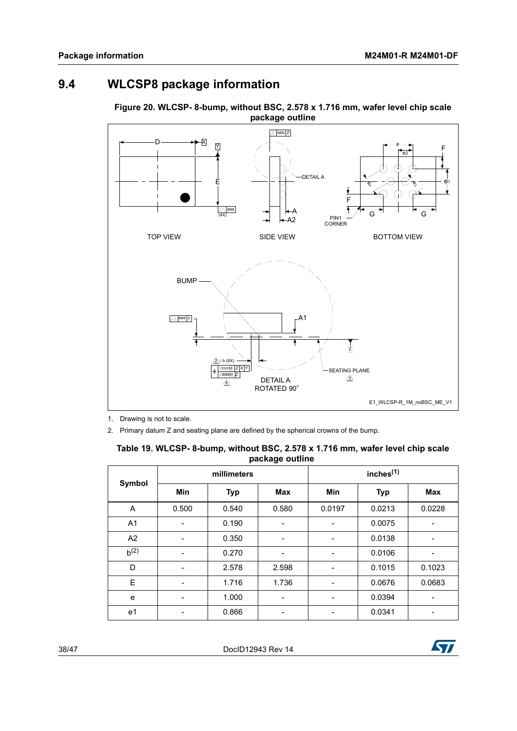## <span id="page-37-0"></span>**9.4 WLCSP8 package information**



<span id="page-37-2"></span>**Figure 20. WLCSP- 8-bump, without BSC, 2.578 x 1.716 mm, wafer level chip scale package outline**

1. Drawing is not to scale.

2. Primary datum Z and seating plane are defined by the spherical crowns of the bump.

| Pasuage canno               |             |            |            |                       |            |            |
|-----------------------------|-------------|------------|------------|-----------------------|------------|------------|
|                             | millimeters |            |            | inches <sup>(1)</sup> |            |            |
| <b>Symbol</b><br><b>Min</b> |             | <b>Typ</b> | <b>Max</b> | Min                   | <b>Typ</b> | <b>Max</b> |
| A                           | 0.500       | 0.540      | 0.580      | 0.0197                | 0.0213     | 0.0228     |
| A <sub>1</sub>              |             | 0.190      |            |                       | 0.0075     |            |
| A2                          |             | 0.350      |            |                       | 0.0138     |            |
| $b^{(2)}$                   |             | 0.270      |            |                       | 0.0106     |            |
| D                           |             | 2.578      | 2.598      |                       | 0.1015     | 0.1023     |
| E                           |             | 1.716      | 1.736      |                       | 0.0676     | 0.0683     |
| e                           |             | 1.000      |            |                       | 0.0394     |            |
| e <sub>1</sub>              |             | 0.866      |            |                       | 0.0341     |            |

<span id="page-37-1"></span>

| Table 19. WLCSP-8-bump, without BSC, 2.578 x 1.716 mm, wafer level chip scale |                 |  |  |
|-------------------------------------------------------------------------------|-----------------|--|--|
|                                                                               | package outline |  |  |

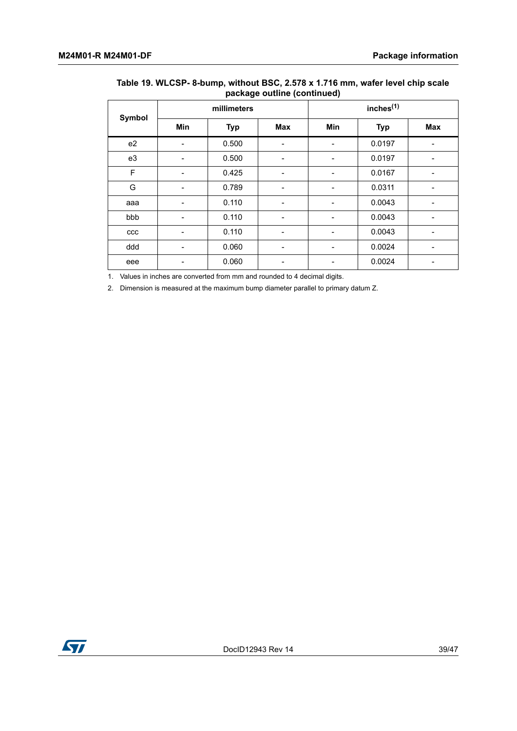|     | package outline (continueu)<br>millimeters |       |            |     |            |     |
|-----|--------------------------------------------|-------|------------|-----|------------|-----|
|     | <b>Symbol</b><br>Min                       |       | <b>Max</b> | Min | <b>Typ</b> | Max |
| e2  |                                            | 0.500 | -          |     | 0.0197     |     |
| e3  |                                            | 0.500 | -          |     | 0.0197     |     |
| F   |                                            | 0.425 | -          |     | 0.0167     |     |
| G   |                                            | 0.789 |            |     | 0.0311     |     |
| aaa |                                            | 0.110 | -          | -   | 0.0043     | ۰   |
| bbb |                                            | 0.110 | -          |     | 0.0043     |     |
| ccc |                                            | 0.110 | -          |     | 0.0043     |     |
| ddd |                                            | 0.060 | -          |     | 0.0024     |     |
| eee |                                            | 0.060 | -          | -   | 0.0024     | -   |

#### **Table 19. WLCSP- 8-bump, without BSC, 2.578 x 1.716 mm, wafer level chip scale package outline (continued)**

1. Values in inches are converted from mm and rounded to 4 decimal digits.

2. Dimension is measured at the maximum bump diameter parallel to primary datum Z.

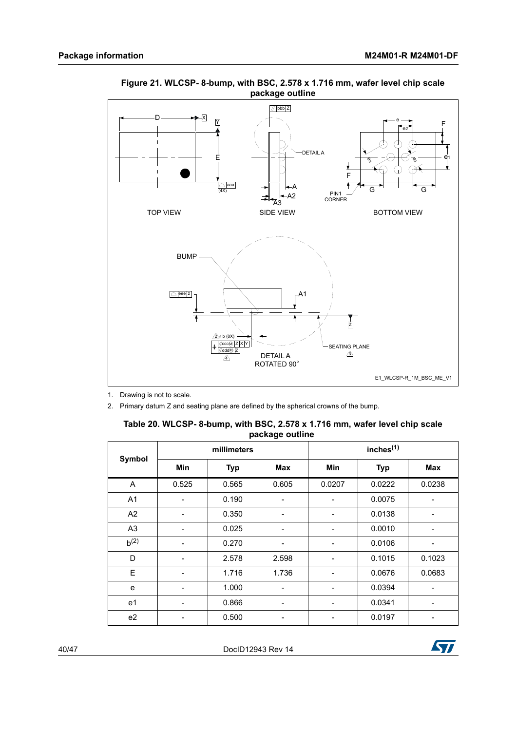

#### <span id="page-39-1"></span>**Figure 21. WLCSP- 8-bump, with BSC, 2.578 x 1.716 mm, wafer level chip scale package outline**

1. Drawing is not to scale.

2. Primary datum Z and seating plane are defined by the spherical crowns of the bump.

<span id="page-39-0"></span>

| Table 20. WLCSP-8-bump, with BSC, 2.578 x 1.716 mm, wafer level chip scale |
|----------------------------------------------------------------------------|
| package outline                                                            |

|                | millimeters |            |                          | inches <sup>(1)</sup> |            |                              |
|----------------|-------------|------------|--------------------------|-----------------------|------------|------------------------------|
| Symbol         | Min         | <b>Typ</b> | Max                      | Min                   | <b>Typ</b> | Max                          |
| A              | 0.525       | 0.565      | 0.605                    | 0.0207                | 0.0222     | 0.0238                       |
| A <sub>1</sub> |             | 0.190      |                          |                       | 0.0075     |                              |
| A2             |             | 0.350      |                          |                       | 0.0138     |                              |
| A <sub>3</sub> |             | 0.025      |                          |                       | 0.0010     |                              |
| $b^{(2)}$      |             | 0.270      | ۰                        |                       | 0.0106     |                              |
| D              |             | 2.578      | 2.598                    |                       | 0.1015     | 0.1023                       |
| E              |             | 1.716      | 1.736                    |                       | 0.0676     | 0.0683                       |
| e              |             | 1.000      | $\overline{\phantom{0}}$ | -                     | 0.0394     | $\qquad \qquad \blacksquare$ |
| e <sub>1</sub> |             | 0.866      | -                        |                       | 0.0341     | -                            |
| e2             |             | 0.500      |                          |                       | 0.0197     |                              |

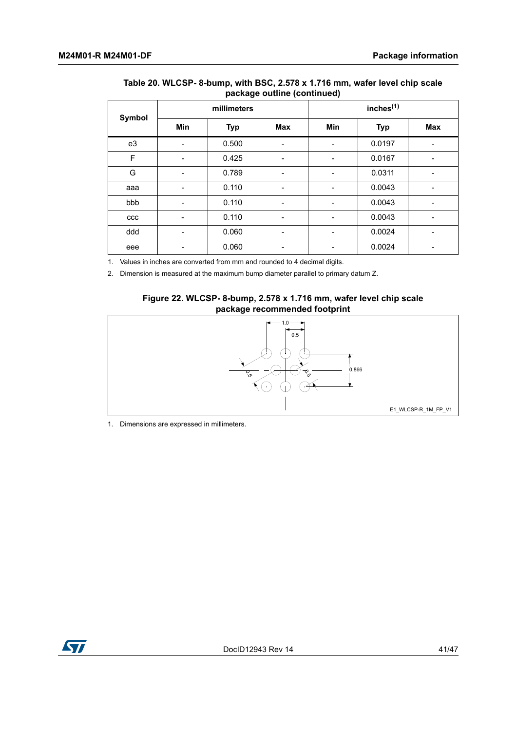| package outline (continued) |             |            |     |                       |            |     |
|-----------------------------|-------------|------------|-----|-----------------------|------------|-----|
|                             | millimeters |            |     | inches <sup>(1)</sup> |            |     |
| Symbol                      | Min         | <b>Typ</b> | Max | Min                   | <b>Typ</b> | Max |
| e3                          |             | 0.500      | ۰   |                       | 0.0197     |     |
| F                           |             | 0.425      |     |                       | 0.0167     |     |
| G                           |             | 0.789      |     |                       | 0.0311     |     |
| aaa                         |             | 0.110      |     |                       | 0.0043     |     |
| bbb                         |             | 0.110      |     |                       | 0.0043     |     |

ccc | - | 0.110 | - | - | 0.0043 | ddd | - | 0.060 | - | - | 0.0024 | eee | - | 0.060 | - | - | 0.0024 | -

# **Table 20. WLCSP- 8-bump, with BSC, 2.578 x 1.716 mm, wafer level chip scale**

1. Values in inches are converted from mm and rounded to 4 decimal digits.

2. Dimension is measured at the maximum bump diameter parallel to primary datum Z.



<span id="page-40-0"></span>

1. Dimensions are expressed in millimeters.

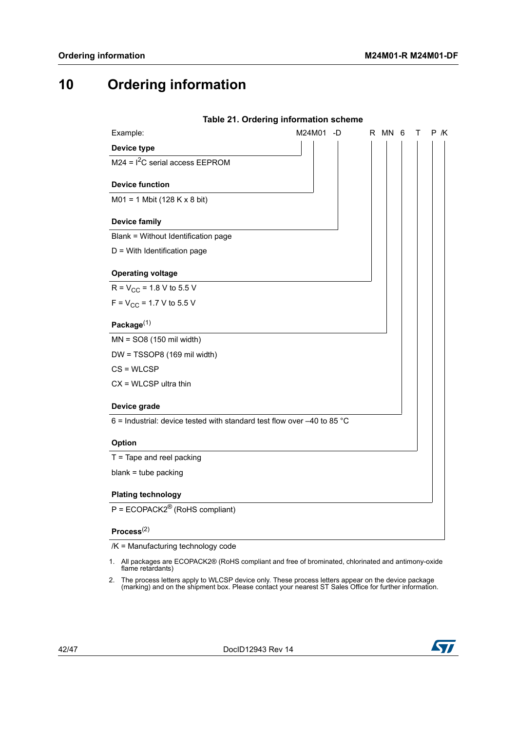# <span id="page-41-0"></span>**10 Ordering information**

<span id="page-41-1"></span>

| Table 21. Ordering information scheme                                     |        |    |        |   |     |
|---------------------------------------------------------------------------|--------|----|--------|---|-----|
| Example:                                                                  | M24M01 | -D | R MN 6 | т | P K |
| Device type                                                               |        |    |        |   |     |
| $M24 = I2C$ serial access EEPROM                                          |        |    |        |   |     |
| <b>Device function</b>                                                    |        |    |        |   |     |
| $M01 = 1$ Mbit (128 K x 8 bit)                                            |        |    |        |   |     |
| <b>Device family</b>                                                      |        |    |        |   |     |
| Blank = Without Identification page                                       |        |    |        |   |     |
| $D =$ With Identification page                                            |        |    |        |   |     |
| <b>Operating voltage</b>                                                  |        |    |        |   |     |
| $R = V_{CC} = 1.8 V$ to 5.5 V                                             |        |    |        |   |     |
| $F = V_{CC} = 1.7 V$ to 5.5 V                                             |        |    |        |   |     |
| Package $(1)$                                                             |        |    |        |   |     |
| $MN = SO8(150 \text{ mil width})$                                         |        |    |        |   |     |
| DW = TSSOP8 (169 mil width)                                               |        |    |        |   |     |
| $CS = WLCSP$                                                              |        |    |        |   |     |
| $CX = WLCSP$ ultra thin                                                   |        |    |        |   |     |
| Device grade                                                              |        |    |        |   |     |
| 6 = Industrial: device tested with standard test flow over $-40$ to 85 °C |        |    |        |   |     |
| Option                                                                    |        |    |        |   |     |
| $T =$ Tape and reel packing                                               |        |    |        |   |     |
| $blank = tube$ packing                                                    |        |    |        |   |     |
| <b>Plating technology</b>                                                 |        |    |        |   |     |
| $P = ECOPACK2^{\circledR}$ (RoHS compliant)                               |        |    |        |   |     |
| Process $^{(2)}$                                                          |        |    |        |   |     |

#### /K = Manufacturing technology code

- 1. All packages are ECOPACK2® (RoHS compliant and free of brominated, chlorinated and antimony-oxide flame retardants)
- 2. The process letters apply to WLCSP device only. These process letters appear on the device package (marking) and on the shipment box. Please contact your nearest ST Sales Office for further information.

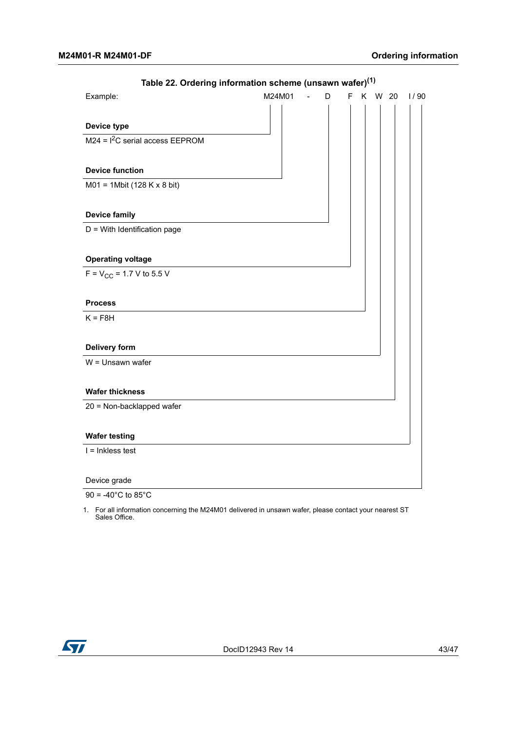<span id="page-42-0"></span>

| Example:                                | M24M01 | D | F<br>Κ<br>W 20 | 1/90 |
|-----------------------------------------|--------|---|----------------|------|
|                                         |        |   |                |      |
| Device type                             |        |   |                |      |
| $M24 = I2C$ serial access EEPROM        |        |   |                |      |
|                                         |        |   |                |      |
| <b>Device function</b>                  |        |   |                |      |
| $MO1 = 1Mbit (128 K x 8 bit)$           |        |   |                |      |
|                                         |        |   |                |      |
| <b>Device family</b>                    |        |   |                |      |
| D = With Identification page            |        |   |                |      |
|                                         |        |   |                |      |
| <b>Operating voltage</b>                |        |   |                |      |
| $F = V_{CC} = 1.7 V$ to 5.5 V           |        |   |                |      |
|                                         |        |   |                |      |
| <b>Process</b>                          |        |   |                |      |
| $K = F8H$                               |        |   |                |      |
|                                         |        |   |                |      |
| <b>Delivery form</b>                    |        |   |                |      |
| $W =$ Unsawn wafer                      |        |   |                |      |
|                                         |        |   |                |      |
| <b>Wafer thickness</b>                  |        |   |                |      |
| 20 = Non-backlapped wafer               |        |   |                |      |
|                                         |        |   |                |      |
| <b>Wafer testing</b>                    |        |   |                |      |
| $I = Inkless test$                      |        |   |                |      |
|                                         |        |   |                |      |
| Device grade                            |        |   |                |      |
| $90 = -40^{\circ}$ C to 85 $^{\circ}$ C |        |   |                |      |

### **Table 22. Ordering information scheme (unsawn wafer)(1)**

1. For all information concerning the M24M01 delivered in unsawn wafer, please contact your nearest ST Sales Office.

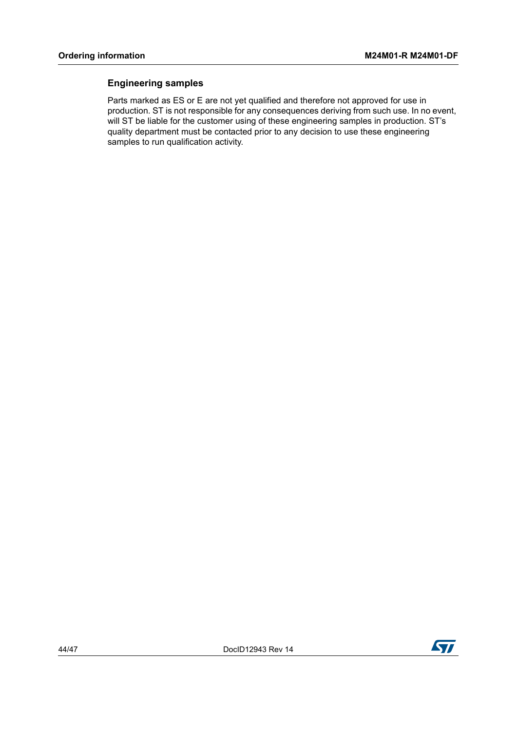#### **Engineering samples**

Parts marked as ES or E are not yet qualified and therefore not approved for use in production. ST is not responsible for any consequences deriving from such use. In no event, will ST be liable for the customer using of these engineering samples in production. ST's quality department must be contacted prior to any decision to use these engineering samples to run qualification activity.

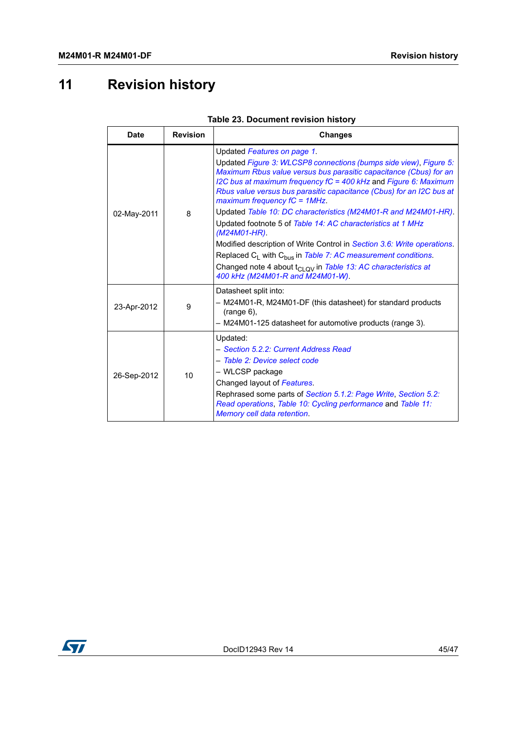# <span id="page-44-0"></span>**11 Revision history**

<span id="page-44-1"></span>

| <b>Date</b> | <b>Revision</b> | <b>Changes</b>                                                                                                                                                                                                                                                                                                                                        |
|-------------|-----------------|-------------------------------------------------------------------------------------------------------------------------------------------------------------------------------------------------------------------------------------------------------------------------------------------------------------------------------------------------------|
|             |                 | Updated Features on page 1.<br>Updated Figure 3: WLCSP8 connections (bumps side view), Figure 5:<br>Maximum Rbus value versus bus parasitic capacitance (Cbus) for an<br>I2C bus at maximum frequency $fC = 400$ kHz and Figure 6: Maximum<br>Rbus value versus bus parasitic capacitance (Cbus) for an I2C bus at<br>maximum frequency $fC = 1MHz$ . |
| 02-May-2011 | 8               | Updated Table 10: DC characteristics (M24M01-R and M24M01-HR).<br>Updated footnote 5 of Table 14: AC characteristics at 1 MHz<br>$(M24M01-HR)$ .                                                                                                                                                                                                      |
|             |                 | Modified description of Write Control in Section 3.6: Write operations.<br>Replaced $C_1$ with $C_{bus}$ in Table 7: AC measurement conditions.<br>Changed note 4 about t <sub>CLOV</sub> in Table 13: AC characteristics at<br>400 kHz (M24M01-R and M24M01-W).                                                                                      |
| 23-Apr-2012 | 9               | Datasheet split into:<br>- M24M01-R, M24M01-DF (this datasheet) for standard products<br>$(range 6)$ ,<br>- M24M01-125 datasheet for automotive products (range 3).                                                                                                                                                                                   |
| 26-Sep-2012 | 10              | Updated:<br>- Section 5.2.2: Current Address Read<br>- Table 2: Device select code<br>- WLCSP package<br>Changed layout of Features.<br>Rephrased some parts of Section 5.1.2: Page Write, Section 5.2:<br>Read operations, Table 10: Cycling performance and Table 11:<br>Memory cell data retention.                                                |

| Table 23. Document revision history |  |  |  |  |
|-------------------------------------|--|--|--|--|
|-------------------------------------|--|--|--|--|

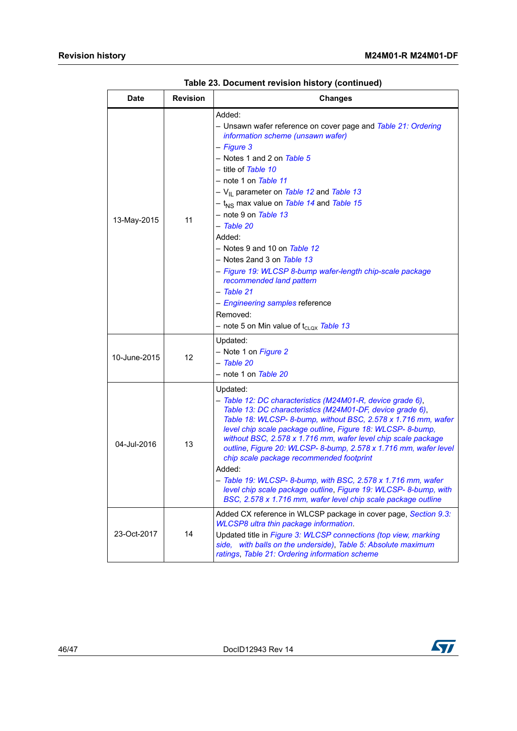| Date         | <b>Revision</b> | able 20. Document revision motory (continued)<br><b>Changes</b>                                                                                                                                                                                                                                                                                                                                                                                                                                                                                                                                                                                                  |
|--------------|-----------------|------------------------------------------------------------------------------------------------------------------------------------------------------------------------------------------------------------------------------------------------------------------------------------------------------------------------------------------------------------------------------------------------------------------------------------------------------------------------------------------------------------------------------------------------------------------------------------------------------------------------------------------------------------------|
| 13-May-2015  | 11              | Added:<br>- Unsawn wafer reference on cover page and Table 21: Ordering<br>information scheme (unsawn wafer)<br>- Figure 3<br>$-$ Notes 1 and 2 on Table 5<br>- title of Table 10<br>- note 1 on Table 11<br>- V <sub>IL</sub> parameter on Table 12 and Table 13<br>- t <sub>NS</sub> max value on Table 14 and Table 15<br>- note 9 on Table 13<br>– Table 20<br>Added:<br>- Notes 9 and 10 on Table 12<br>– Notes 2and 3 on <i>Table 13</i><br>- Figure 19: WLCSP 8-bump wafer-length chip-scale package<br>recommended land pattern<br>$-$ Table 21<br>- Engineering samples reference<br>Removed:<br>- note 5 on Min value of $t_{\text{cLOX}}$ Table 13    |
| 10-June-2015 | 12              | Updated:<br>- Note 1 on Figure 2<br>- Table 20<br>– note 1 on <i>Table 20</i>                                                                                                                                                                                                                                                                                                                                                                                                                                                                                                                                                                                    |
| 04-Jul-2016  | 13              | Updated:<br>- Table 12: DC characteristics (M24M01-R, device grade 6),<br>Table 13: DC characteristics (M24M01-DF, device grade 6),<br>Table 18: WLCSP-8-bump, without BSC, 2.578 x 1.716 mm, wafer<br>level chip scale package outline, Figure 18: WLCSP- 8-bump,<br>without BSC, 2.578 x 1.716 mm, wafer level chip scale package<br>outline, Figure 20: WLCSP-8-bump, 2.578 x 1.716 mm, wafer level<br>chip scale package recommended footprint<br>Added:<br>- Table 19: WLCSP-8-bump, with BSC, 2.578 x 1.716 mm, wafer<br>level chip scale package outline, Figure 19: WLCSP- 8-bump, with<br>BSC, 2.578 x 1.716 mm, wafer level chip scale package outline |
| 23-Oct-2017  | 14              | Added CX reference in WLCSP package in cover page, Section 9.3:<br><b>WLCSP8</b> ultra thin package information.<br>Updated title in Figure 3: WLCSP connections (top view, marking<br>side, with balls on the underside), Table 5: Absolute maximum<br>ratings, Table 21: Ordering information scheme                                                                                                                                                                                                                                                                                                                                                           |